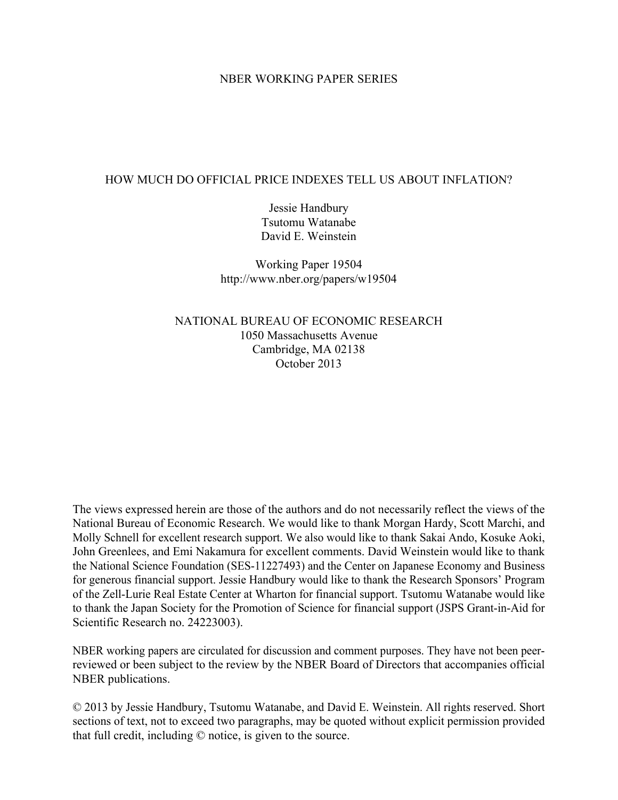#### NBER WORKING PAPER SERIES

#### HOW MUCH DO OFFICIAL PRICE INDEXES TELL US ABOUT INFLATION?

Jessie Handbury Tsutomu Watanabe David E. Weinstein

Working Paper 19504 http://www.nber.org/papers/w19504

NATIONAL BUREAU OF ECONOMIC RESEARCH 1050 Massachusetts Avenue Cambridge, MA 02138 October 2013

The views expressed herein are those of the authors and do not necessarily reflect the views of the National Bureau of Economic Research. We would like to thank Morgan Hardy, Scott Marchi, and Molly Schnell for excellent research support. We also would like to thank Sakai Ando, Kosuke Aoki, John Greenlees, and Emi Nakamura for excellent comments. David Weinstein would like to thank the National Science Foundation (SES-11227493) and the Center on Japanese Economy and Business for generous financial support. Jessie Handbury would like to thank the Research Sponsors' Program of the Zell-Lurie Real Estate Center at Wharton for financial support. Tsutomu Watanabe would like to thank the Japan Society for the Promotion of Science for financial support (JSPS Grant-in-Aid for Scientific Research no. 24223003).

NBER working papers are circulated for discussion and comment purposes. They have not been peerreviewed or been subject to the review by the NBER Board of Directors that accompanies official NBER publications.

© 2013 by Jessie Handbury, Tsutomu Watanabe, and David E. Weinstein. All rights reserved. Short sections of text, not to exceed two paragraphs, may be quoted without explicit permission provided that full credit, including © notice, is given to the source.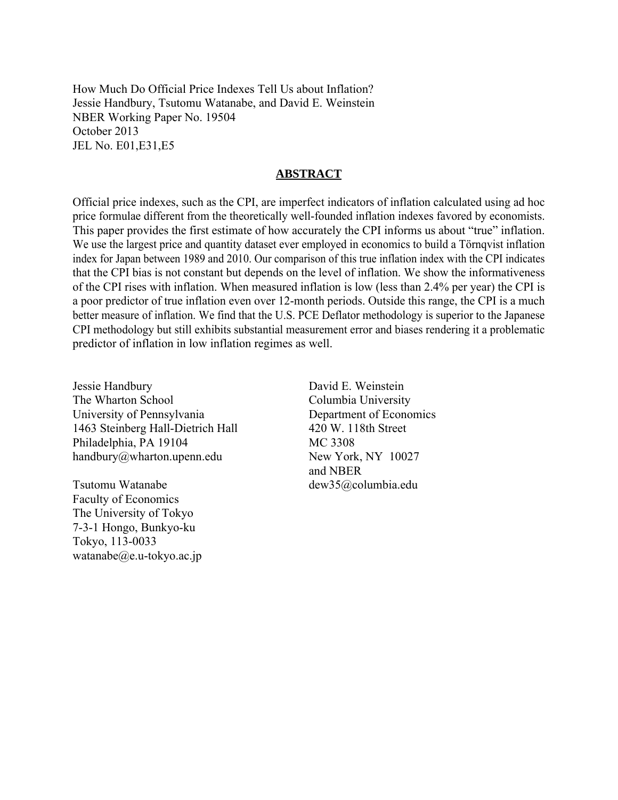How Much Do Official Price Indexes Tell Us about Inflation? Jessie Handbury, Tsutomu Watanabe, and David E. Weinstein NBER Working Paper No. 19504 October 2013 JEL No. E01,E31,E5

#### **ABSTRACT**

Official price indexes, such as the CPI, are imperfect indicators of inflation calculated using ad hoc price formulae different from the theoretically well-founded inflation indexes favored by economists. This paper provides the first estimate of how accurately the CPI informs us about "true" inflation. We use the largest price and quantity dataset ever employed in economics to build a Törnqvist inflation index for Japan between 1989 and 2010. Our comparison of this true inflation index with the CPI indicates that the CPI bias is not constant but depends on the level of inflation. We show the informativeness of the CPI rises with inflation. When measured inflation is low (less than 2.4% per year) the CPI is a poor predictor of true inflation even over 12-month periods. Outside this range, the CPI is a much better measure of inflation. We find that the U.S. PCE Deflator methodology is superior to the Japanese CPI methodology but still exhibits substantial measurement error and biases rendering it a problematic predictor of inflation in low inflation regimes as well.

Jessie Handbury The Wharton School University of Pennsylvania 1463 Steinberg Hall-Dietrich Hall Philadelphia, PA 19104 handbury@wharton.upenn.edu

Tsutomu Watanabe Faculty of Economics The University of Tokyo 7-3-1 Hongo, Bunkyo-ku Tokyo, 113-0033 watanabe $@e.u$ -tokyo.ac.jp

David E. Weinstein Columbia University Department of Economics 420 W. 118th Street MC 3308 New York, NY 10027 and NBER dew35@columbia.edu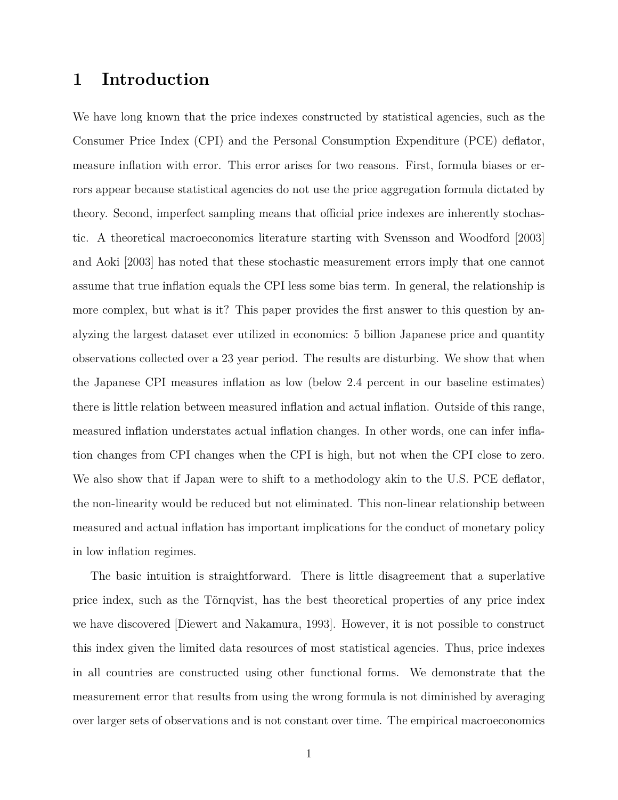# **1 Introduction**

We have long known that the price indexes constructed by statistical agencies, such as the Consumer Price Index (CPI) and the Personal Consumption Expenditure (PCE) deflator, measure inflation with error. This error arises for two reasons. First, formula biases or errors appear because statistical agencies do not use the price aggregation formula dictated by theory. Second, imperfect sampling means that official price indexes are inherently stochastic. A theoretical macroeconomics literature starting with [Svensson and Woodford](#page-42-0) [\[2003\]](#page-42-0) and [Aoki](#page-41-0) [\[2003\]](#page-41-0) has noted that these stochastic measurement errors imply that one cannot assume that true inflation equals the CPI less some bias term. In general, the relationship is more complex, but what is it? This paper provides the first answer to this question by analyzing the largest dataset ever utilized in economics: 5 billion Japanese price and quantity observations collected over a 23 year period. The results are disturbing. We show that when the Japanese CPI measures inflation as low (below 2.4 percent in our baseline estimates) there is little relation between measured inflation and actual inflation. Outside of this range, measured inflation understates actual inflation changes. In other words, one can infer inflation changes from CPI changes when the CPI is high, but not when the CPI close to zero. We also show that if Japan were to shift to a methodology akin to the U.S. PCE deflator, the non-linearity would be reduced but not eliminated. This non-linear relationship between measured and actual inflation has important implications for the conduct of monetary policy in low inflation regimes.

The basic intuition is straightforward. There is little disagreement that a superlative price index, such as the Törnqvist, has the best theoretical properties of any price index we have discovered [\[Diewert and Nakamura, 1993\]](#page-41-1). However, it is not possible to construct this index given the limited data resources of most statistical agencies. Thus, price indexes in all countries are constructed using other functional forms. We demonstrate that the measurement error that results from using the wrong formula is not diminished by averaging over larger sets of observations and is not constant over time. The empirical macroeconomics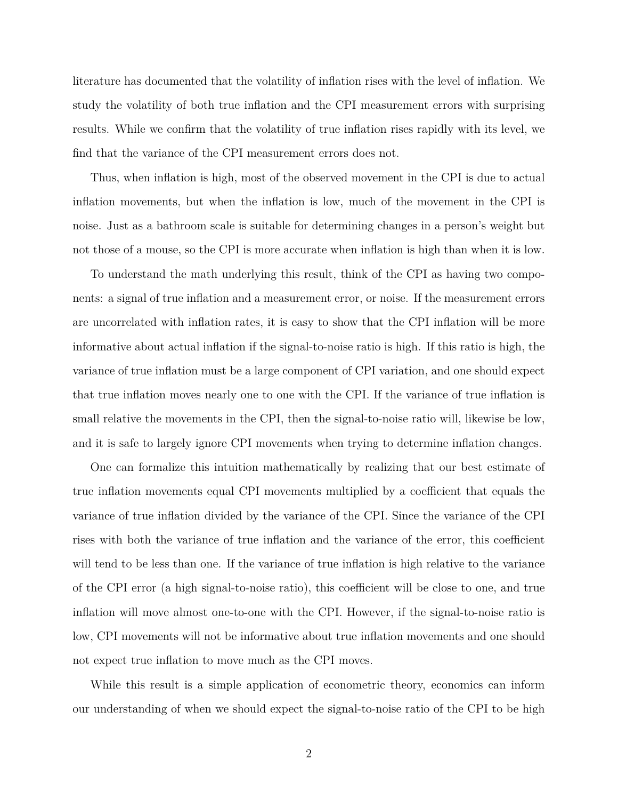literature has documented that the volatility of inflation rises with the level of inflation. We study the volatility of both true inflation and the CPI measurement errors with surprising results. While we confirm that the volatility of true inflation rises rapidly with its level, we find that the variance of the CPI measurement errors does not.

Thus, when inflation is high, most of the observed movement in the CPI is due to actual inflation movements, but when the inflation is low, much of the movement in the CPI is noise. Just as a bathroom scale is suitable for determining changes in a person's weight but not those of a mouse, so the CPI is more accurate when inflation is high than when it is low.

To understand the math underlying this result, think of the CPI as having two components: a signal of true inflation and a measurement error, or noise. If the measurement errors are uncorrelated with inflation rates, it is easy to show that the CPI inflation will be more informative about actual inflation if the signal-to-noise ratio is high. If this ratio is high, the variance of true inflation must be a large component of CPI variation, and one should expect that true inflation moves nearly one to one with the CPI. If the variance of true inflation is small relative the movements in the CPI, then the signal-to-noise ratio will, likewise be low, and it is safe to largely ignore CPI movements when trying to determine inflation changes.

One can formalize this intuition mathematically by realizing that our best estimate of true inflation movements equal CPI movements multiplied by a coefficient that equals the variance of true inflation divided by the variance of the CPI. Since the variance of the CPI rises with both the variance of true inflation and the variance of the error, this coefficient will tend to be less than one. If the variance of true inflation is high relative to the variance of the CPI error (a high signal-to-noise ratio), this coefficient will be close to one, and true inflation will move almost one-to-one with the CPI. However, if the signal-to-noise ratio is low, CPI movements will not be informative about true inflation movements and one should not expect true inflation to move much as the CPI moves.

While this result is a simple application of econometric theory, economics can inform our understanding of when we should expect the signal-to-noise ratio of the CPI to be high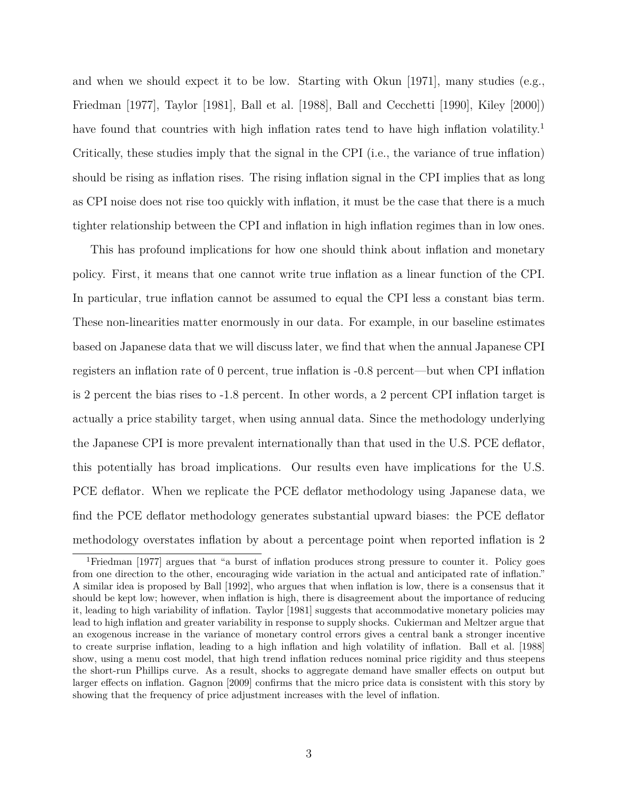and when we should expect it to be low. Starting with [Okun](#page-42-1)  $|1971|$ , many studies (e.g., [Friedman](#page-41-2) [\[1977\]](#page-41-2), [Taylor](#page-42-2) [\[1981\]](#page-42-2), [Ball et al.](#page-41-3) [\[1988\]](#page-41-3), [Ball and Cecchetti](#page-41-4) [\[1990\]](#page-41-4), [Kiley](#page-41-5) [\[2000\]](#page-41-5)) have found that countries with high inflation rates tend to have high inflation volatility.<sup>[1](#page-4-0)</sup> Critically, these studies imply that the signal in the CPI (i.e., the variance of true inflation) should be rising as inflation rises. The rising inflation signal in the CPI implies that as long as CPI noise does not rise too quickly with inflation, it must be the case that there is a much tighter relationship between the CPI and inflation in high inflation regimes than in low ones.

This has profound implications for how one should think about inflation and monetary policy. First, it means that one cannot write true inflation as a linear function of the CPI. In particular, true inflation cannot be assumed to equal the CPI less a constant bias term. These non-linearities matter enormously in our data. For example, in our baseline estimates based on Japanese data that we will discuss later, we find that when the annual Japanese CPI registers an inflation rate of 0 percent, true inflation is -0.8 percent—but when CPI inflation is 2 percent the bias rises to -1.8 percent. In other words, a 2 percent CPI inflation target is actually a price stability target, when using annual data. Since the methodology underlying the Japanese CPI is more prevalent internationally than that used in the U.S. PCE deflator, this potentially has broad implications. Our results even have implications for the U.S. PCE deflator. When we replicate the PCE deflator methodology using Japanese data, we find the PCE deflator methodology generates substantial upward biases: the PCE deflator methodology overstates inflation by about a percentage point when reported inflation is 2

<span id="page-4-0"></span><sup>1</sup>[Friedman](#page-41-2) [\[1977\]](#page-41-2) argues that "a burst of inflation produces strong pressure to counter it. Policy goes from one direction to the other, encouraging wide variation in the actual and anticipated rate of inflation." A similar idea is proposed by [Ball](#page-41-6) [\[1992\]](#page-41-6), who argues that when inflation is low, there is a consensus that it should be kept low; however, when inflation is high, there is disagreement about the importance of reducing it, leading to high variability of inflation. [Taylor](#page-42-2) [\[1981\]](#page-42-2) suggests that accommodative monetary policies may lead to high inflation and greater variability in response to supply shocks. [Cukierman and Meltzer](#page-41-7) argue that an exogenous increase in the variance of monetary control errors gives a central bank a stronger incentive to create surprise inflation, leading to a high inflation and high volatility of inflation. [Ball et al.](#page-41-3) [\[1988\]](#page-41-3) show, using a menu cost model, that high trend inflation reduces nominal price rigidity and thus steepens the short-run Phillips curve. As a result, shocks to aggregate demand have smaller effects on output but larger effects on inflation. [Gagnon](#page-41-8) [\[2009\]](#page-41-8) confirms that the micro price data is consistent with this story by showing that the frequency of price adjustment increases with the level of inflation.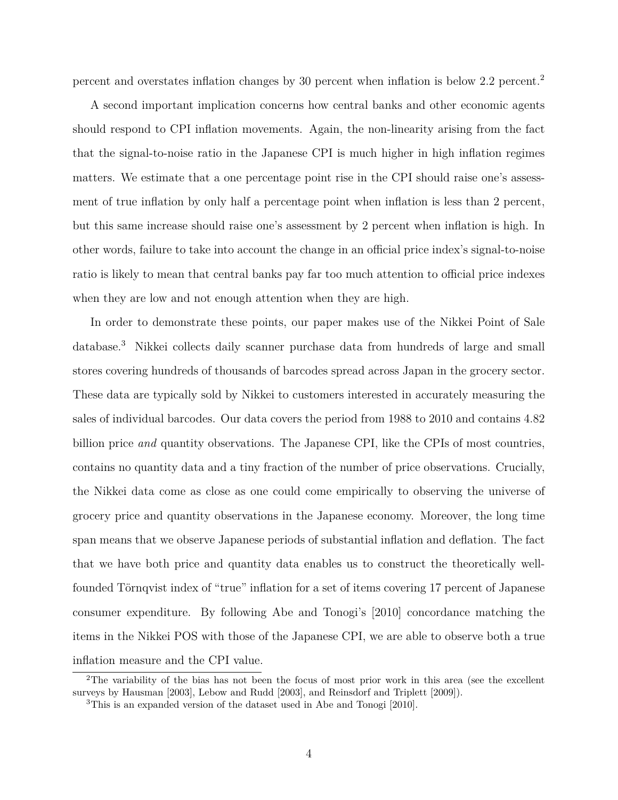percent and overstates inflation changes by 30 percent when inflation is below 2.2 percent.[2](#page-5-0)

A second important implication concerns how central banks and other economic agents should respond to CPI inflation movements. Again, the non-linearity arising from the fact that the signal-to-noise ratio in the Japanese CPI is much higher in high inflation regimes matters. We estimate that a one percentage point rise in the CPI should raise one's assessment of true inflation by only half a percentage point when inflation is less than 2 percent, but this same increase should raise one's assessment by 2 percent when inflation is high. In other words, failure to take into account the change in an official price index's signal-to-noise ratio is likely to mean that central banks pay far too much attention to official price indexes when they are low and not enough attention when they are high.

In order to demonstrate these points, our paper makes use of the Nikkei Point of Sale database.[3](#page-5-1) Nikkei collects daily scanner purchase data from hundreds of large and small stores covering hundreds of thousands of barcodes spread across Japan in the grocery sector. These data are typically sold by Nikkei to customers interested in accurately measuring the sales of individual barcodes. Our data covers the period from 1988 to 2010 and contains 4.82 billion price *and* quantity observations. The Japanese CPI, like the CPIs of most countries, contains no quantity data and a tiny fraction of the number of price observations. Crucially, the Nikkei data come as close as one could come empirically to observing the universe of grocery price and quantity observations in the Japanese economy. Moreover, the long time span means that we observe Japanese periods of substantial inflation and deflation. The fact that we have both price and quantity data enables us to construct the theoretically wellfounded Törnqvist index of "true" inflation for a set of items covering 17 percent of Japanese consumer expenditure. By following Abe and Tonogi's [\[2010\]](#page-41-9) concordance matching the items in the Nikkei POS with those of the Japanese CPI, we are able to observe both a true inflation measure and the CPI value.

<span id="page-5-0"></span><sup>&</sup>lt;sup>2</sup>The variability of the bias has not been the focus of most prior work in this area (see the excellent surveys by [Hausman](#page-41-10) [\[2003\]](#page-41-10), [Lebow and Rudd](#page-42-3) [\[2003\]](#page-42-3), and [Reinsdorf and Triplett](#page-42-4) [\[2009\]](#page-42-4)).

<span id="page-5-1"></span><sup>3</sup>This is an expanded version of the dataset used in [Abe and Tonogi](#page-41-9) [\[2010\]](#page-41-9).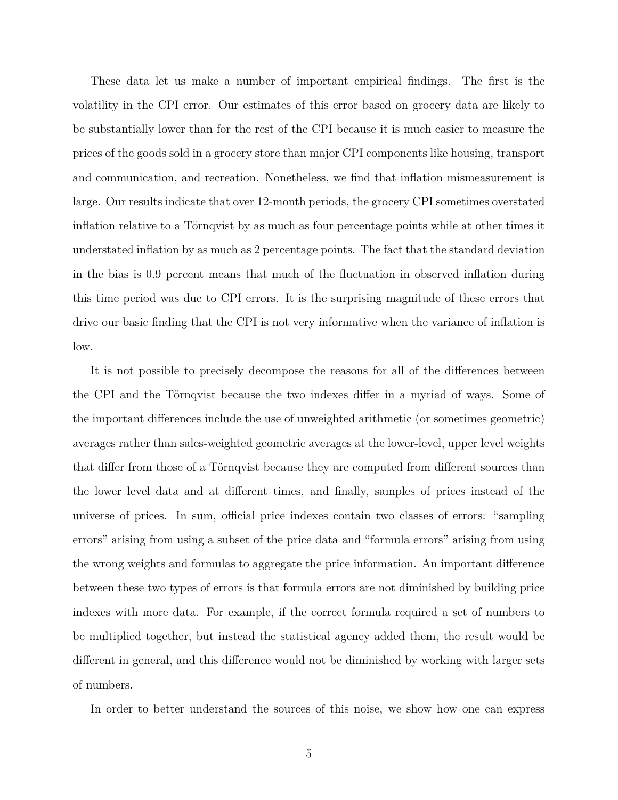These data let us make a number of important empirical findings. The first is the volatility in the CPI error. Our estimates of this error based on grocery data are likely to be substantially lower than for the rest of the CPI because it is much easier to measure the prices of the goods sold in a grocery store than major CPI components like housing, transport and communication, and recreation. Nonetheless, we find that inflation mismeasurement is large. Our results indicate that over 12-month periods, the grocery CPI sometimes overstated inflation relative to a Törnqvist by as much as four percentage points while at other times it understated inflation by as much as 2 percentage points. The fact that the standard deviation in the bias is 0.9 percent means that much of the fluctuation in observed inflation during this time period was due to CPI errors. It is the surprising magnitude of these errors that drive our basic finding that the CPI is not very informative when the variance of inflation is low.

It is not possible to precisely decompose the reasons for all of the differences between the CPI and the Törnqvist because the two indexes differ in a myriad of ways. Some of the important differences include the use of unweighted arithmetic (or sometimes geometric) averages rather than sales-weighted geometric averages at the lower-level, upper level weights that differ from those of a Törnqvist because they are computed from different sources than the lower level data and at different times, and finally, samples of prices instead of the universe of prices. In sum, official price indexes contain two classes of errors: "sampling errors" arising from using a subset of the price data and "formula errors" arising from using the wrong weights and formulas to aggregate the price information. An important difference between these two types of errors is that formula errors are not diminished by building price indexes with more data. For example, if the correct formula required a set of numbers to be multiplied together, but instead the statistical agency added them, the result would be different in general, and this difference would not be diminished by working with larger sets of numbers.

In order to better understand the sources of this noise, we show how one can express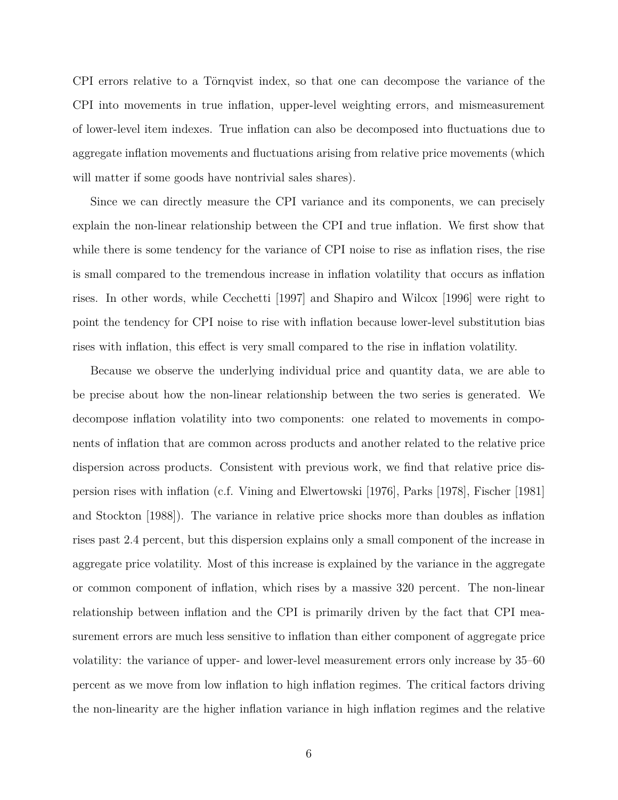CPI errors relative to a Törnqvist index, so that one can decompose the variance of the CPI into movements in true inflation, upper-level weighting errors, and mismeasurement of lower-level item indexes. True inflation can also be decomposed into fluctuations due to aggregate inflation movements and fluctuations arising from relative price movements (which will matter if some goods have nontrivial sales shares).

Since we can directly measure the CPI variance and its components, we can precisely explain the non-linear relationship between the CPI and true inflation. We first show that while there is some tendency for the variance of CPI noise to rise as inflation rises, the rise is small compared to the tremendous increase in inflation volatility that occurs as inflation rises. In other words, while [Cecchetti](#page-41-11) [\[1997\]](#page-41-11) and [Shapiro and Wilcox](#page-42-5) [\[1996\]](#page-42-5) were right to point the tendency for CPI noise to rise with inflation because lower-level substitution bias rises with inflation, this effect is very small compared to the rise in inflation volatility.

Because we observe the underlying individual price and quantity data, we are able to be precise about how the non-linear relationship between the two series is generated. We decompose inflation volatility into two components: one related to movements in components of inflation that are common across products and another related to the relative price dispersion across products. Consistent with previous work, we find that relative price dispersion rises with inflation (c.f. [Vining and Elwertowski](#page-42-6) [\[1976\]](#page-42-6), [Parks](#page-42-7) [\[1978\]](#page-42-7), [Fischer](#page-41-12) [\[1981\]](#page-41-12) and [Stockton](#page-42-8) [\[1988\]](#page-42-8)). The variance in relative price shocks more than doubles as inflation rises past 2.4 percent, but this dispersion explains only a small component of the increase in aggregate price volatility. Most of this increase is explained by the variance in the aggregate or common component of inflation, which rises by a massive 320 percent. The non-linear relationship between inflation and the CPI is primarily driven by the fact that CPI measurement errors are much less sensitive to inflation than either component of aggregate price volatility: the variance of upper- and lower-level measurement errors only increase by 35–60 percent as we move from low inflation to high inflation regimes. The critical factors driving the non-linearity are the higher inflation variance in high inflation regimes and the relative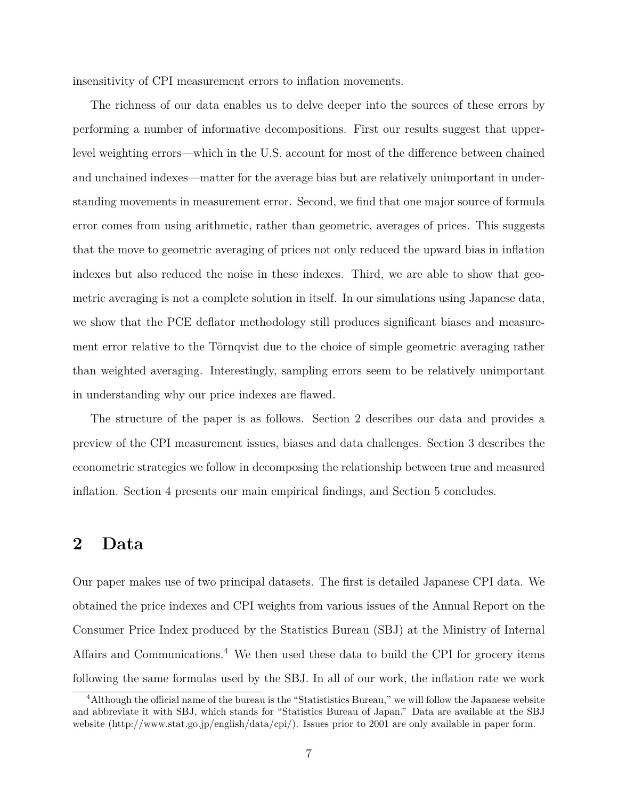insensitivity of CPI measurement errors to inflation movements.

The richness of our data enables us to delve deeper into the sources of these errors by performing a number of informative decompositions. First our results suggest that upperlevel weighting errors—which in the U.S. account for most of the difference between chained and unchained indexes—matter for the average bias but are relatively unimportant in understanding movements in measurement error. Second, we find that one major source of formula error comes from using arithmetic, rather than geometric, averages of prices. This suggests that the move to geometric averaging of prices not only reduced the upward bias in inflation indexes but also reduced the noise in these indexes. Third, we are able to show that geometric averaging is not a complete solution in itself. In our simulations using Japanese data, we show that the PCE deflator methodology still produces significant biases and measurement error relative to the Törnqvist due to the choice of simple geometric averaging rather than weighted averaging. Interestingly, sampling errors seem to be relatively unimportant in understanding why our price indexes are flawed.

The structure of the paper is as follows. Section [2](#page-8-0) describes our data and provides a preview of the CPI measurement issues, biases and data challenges. Section [3](#page-16-0) describes the econometric strategies we follow in decomposing the relationship between true and measured inflation. Section [4](#page-22-0) presents our main empirical findings, and Section [5](#page-39-0) concludes.

### <span id="page-8-0"></span>**2 Data**

Our paper makes use of two principal datasets. The first is detailed Japanese CPI data. We obtained the price indexes and CPI weights from various issues of the Annual Report on the Consumer Price Index produced by the Statistics Bureau (SBJ) at the Ministry of Internal Affairs and Communications.<sup>[4](#page-8-1)</sup> We then used these data to build the CPI for grocery items following the same formulas used by the SBJ. In all of our work, the inflation rate we work

<span id="page-8-1"></span><sup>4</sup>Although the official name of the bureau is the "Statististics Bureau," we will follow the Japanese website and abbreviate it with SBJ, which stands for "Statistics Bureau of Japan." Data are available at the SBJ website (http://www.stat.go.jp/english/data/cpi/). Issues prior to 2001 are only available in paper form.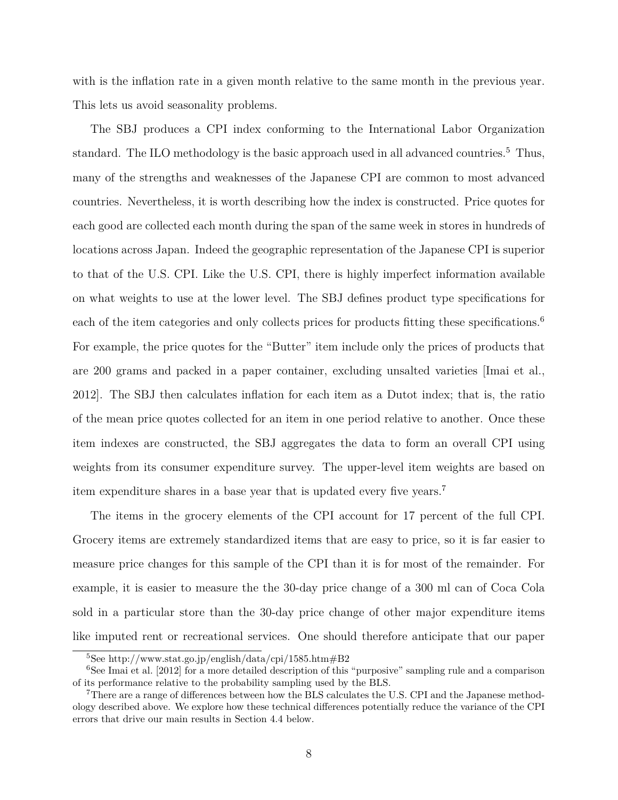with is the inflation rate in a given month relative to the same month in the previous year. This lets us avoid seasonality problems.

The SBJ produces a CPI index conforming to the International Labor Organization standard. The ILO methodology is the basic approach used in all advanced countries.<sup>[5](#page-9-0)</sup> Thus, many of the strengths and weaknesses of the Japanese CPI are common to most advanced countries. Nevertheless, it is worth describing how the index is constructed. Price quotes for each good are collected each month during the span of the same week in stores in hundreds of locations across Japan. Indeed the geographic representation of the Japanese CPI is superior to that of the U.S. CPI. Like the U.S. CPI, there is highly imperfect information available on what weights to use at the lower level. The SBJ defines product type specifications for each of the item categories and only collects prices for products fitting these specifications.<sup>[6](#page-9-1)</sup> For example, the price quotes for the "Butter" item include only the prices of products that are 200 grams and packed in a paper container, excluding unsalted varieties [\[Imai et al.,](#page-41-13) [2012\]](#page-41-13). The SBJ then calculates inflation for each item as a Dutot index; that is, the ratio of the mean price quotes collected for an item in one period relative to another. Once these item indexes are constructed, the SBJ aggregates the data to form an overall CPI using weights from its consumer expenditure survey. The upper-level item weights are based on item expenditure shares in a base year that is updated every five years.[7](#page-9-2)

The items in the grocery elements of the CPI account for 17 percent of the full CPI. Grocery items are extremely standardized items that are easy to price, so it is far easier to measure price changes for this sample of the CPI than it is for most of the remainder. For example, it is easier to measure the the 30-day price change of a 300 ml can of Coca Cola sold in a particular store than the 30-day price change of other major expenditure items like imputed rent or recreational services. One should therefore anticipate that our paper

<span id="page-9-1"></span><span id="page-9-0"></span><sup>5</sup>See http://www.stat.go.jp/english/data/cpi/1585.htm#B2

<sup>&</sup>lt;sup>6</sup>See [Imai et al.](#page-41-13) [\[2012\]](#page-41-13) for a more detailed description of this "purposive" sampling rule and a comparison of its performance relative to the probability sampling used by the BLS.

<span id="page-9-2"></span><sup>7</sup>There are a range of differences between how the BLS calculates the U.S. CPI and the Japanese methodology described above. We explore how these technical differences potentially reduce the variance of the CPI errors that drive our main results in Section [4.4](#page-32-0) below.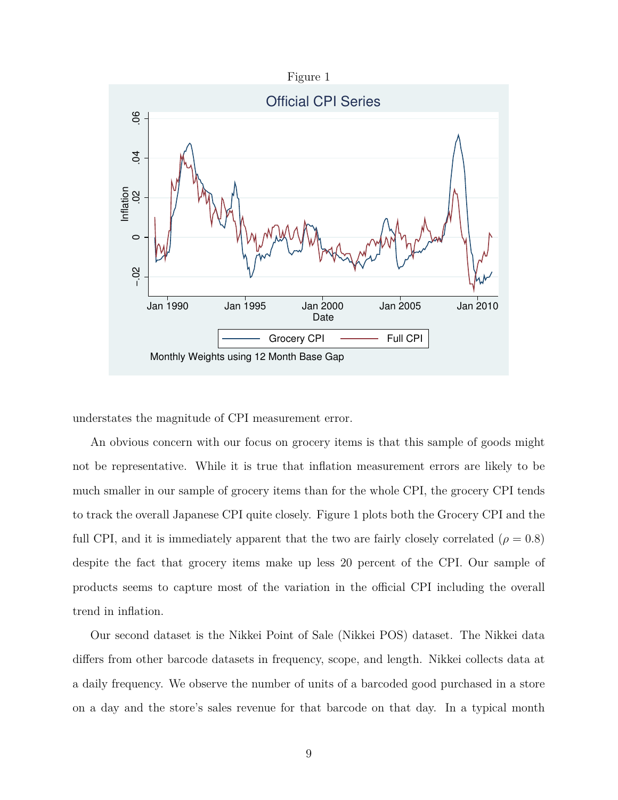<span id="page-10-0"></span>

understates the magnitude of CPI measurement error.

An obvious concern with our focus on grocery items is that this sample of goods might not be representative. While it is true that inflation measurement errors are likely to be much smaller in our sample of grocery items than for the whole CPI, the grocery CPI tends to track the overall Japanese CPI quite closely. Figure [1](#page-10-0) plots both the Grocery CPI and the full CPI, and it is immediately apparent that the two are fairly closely correlated  $(\rho = 0.8)$ despite the fact that grocery items make up less 20 percent of the CPI. Our sample of products seems to capture most of the variation in the official CPI including the overall trend in inflation.

Our second dataset is the Nikkei Point of Sale (Nikkei POS) dataset. The Nikkei data differs from other barcode datasets in frequency, scope, and length. Nikkei collects data at a daily frequency. We observe the number of units of a barcoded good purchased in a store on a day and the store's sales revenue for that barcode on that day. In a typical month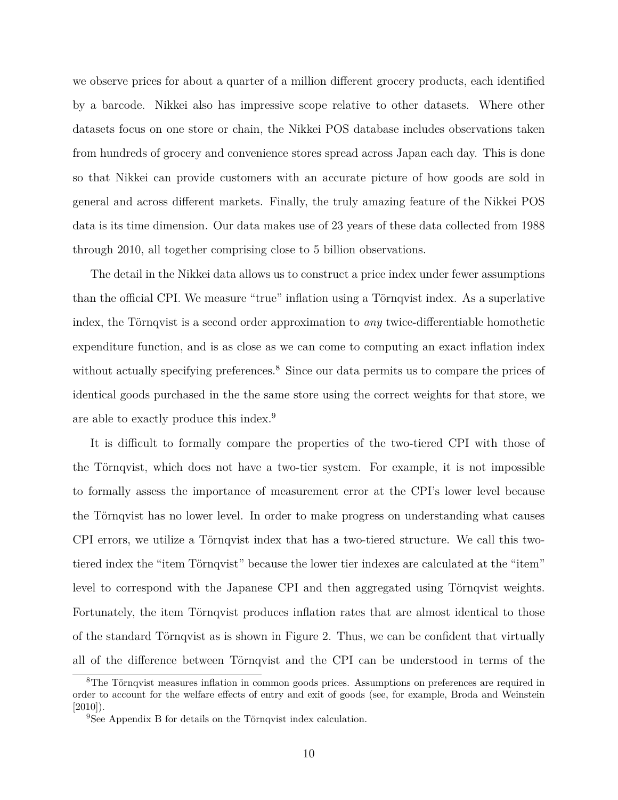we observe prices for about a quarter of a million different grocery products, each identified by a barcode. Nikkei also has impressive scope relative to other datasets. Where other datasets focus on one store or chain, the Nikkei POS database includes observations taken from hundreds of grocery and convenience stores spread across Japan each day. This is done so that Nikkei can provide customers with an accurate picture of how goods are sold in general and across different markets. Finally, the truly amazing feature of the Nikkei POS data is its time dimension. Our data makes use of 23 years of these data collected from 1988 through 2010, all together comprising close to 5 billion observations.

The detail in the Nikkei data allows us to construct a price index under fewer assumptions than the official CPI. We measure "true" inflation using a Törnqvist index. As a superlative index, the Törnqvist is a second order approximation to *any* twice-differentiable homothetic expenditure function, and is as close as we can come to computing an exact inflation index without actually specifying preferences.<sup>[8](#page-11-0)</sup> Since our data permits us to compare the prices of identical goods purchased in the the same store using the correct weights for that store, we are able to exactly produce this index.[9](#page-11-1)

It is difficult to formally compare the properties of the two-tiered CPI with those of the Törnqvist, which does not have a two-tier system. For example, it is not impossible to formally assess the importance of measurement error at the CPI's lower level because the Törnqvist has no lower level. In order to make progress on understanding what causes CPI errors, we utilize a Törnqvist index that has a two-tiered structure. We call this twotiered index the "item Törnqvist" because the lower tier indexes are calculated at the "item" level to correspond with the Japanese CPI and then aggregated using Törnqvist weights. Fortunately, the item Törnqvist produces inflation rates that are almost identical to those of the standard Törnqvist as is shown in Figure [2.](#page-12-0) Thus, we can be confident that virtually all of the difference between Törnqvist and the CPI can be understood in terms of the

<span id="page-11-0"></span><sup>8</sup>The Törnqvist measures inflation in common goods prices. Assumptions on preferences are required in order to account for the welfare effects of entry and exit of goods (see, for example, [Broda and Weinstein](#page-41-14)  $[2010]$ ).

<span id="page-11-1"></span><sup>&</sup>lt;sup>9</sup>See [Appendix B](#page-46-0) for details on the Törnqvist index calculation.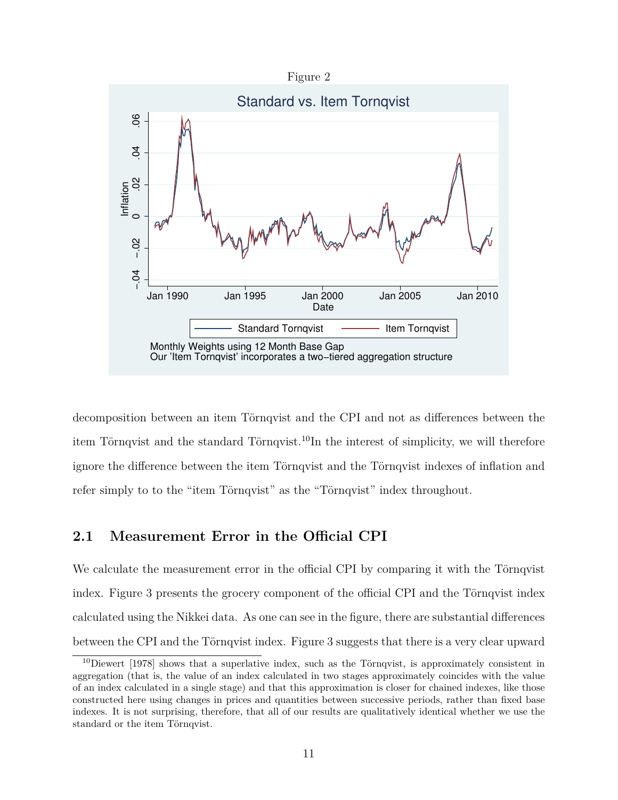

<span id="page-12-0"></span>

decomposition between an item Törnqvist and the CPI and not as differences between the item Törnqvist and the standard Törnqvist.[10](#page-12-1)In the interest of simplicity, we will therefore ignore the difference between the item Törnqvist and the Törnqvist indexes of inflation and refer simply to to the "item Törnqvist" as the "Törnqvist" index throughout.

### **2.1 Measurement Error in the Official CPI**

We calculate the measurement error in the official CPI by comparing it with the Törnqvist index. Figure [3](#page-13-0) presents the grocery component of the official CPI and the Törnqvist index calculated using the Nikkei data. As one can see in the figure, there are substantial differences between the CPI and the Törnqvist index. Figure [3](#page-13-0) suggests that there is a very clear upward

<span id="page-12-1"></span><sup>10</sup>[Diewert](#page-41-15) [\[1978\]](#page-41-15) shows that a superlative index, such as the Törnqvist, is approximately consistent in aggregation (that is, the value of an index calculated in two stages approximately coincides with the value of an index calculated in a single stage) and that this approximation is closer for chained indexes, like those constructed here using changes in prices and quantities between successive periods, rather than fixed base indexes. It is not surprising, therefore, that all of our results are qualitatively identical whether we use the standard or the item Törnqvist.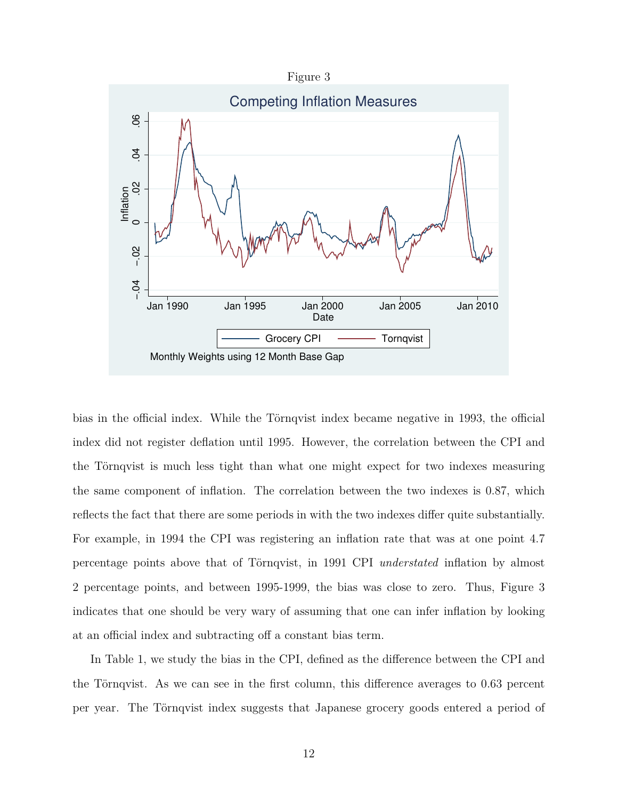Figure 3

<span id="page-13-0"></span>

bias in the official index. While the Törnqvist index became negative in 1993, the official index did not register deflation until 1995. However, the correlation between the CPI and the Törnqvist is much less tight than what one might expect for two indexes measuring the same component of inflation. The correlation between the two indexes is 0.87, which reflects the fact that there are some periods in with the two indexes differ quite substantially. For example, in 1994 the CPI was registering an inflation rate that was at one point 4.7 percentage points above that of Törnqvist, in 1991 CPI *understated* inflation by almost 2 percentage points, and between 1995-1999, the bias was close to zero. Thus, Figure [3](#page-13-0) indicates that one should be very wary of assuming that one can infer inflation by looking at an official index and subtracting off a constant bias term.

In Table [1,](#page-14-0) we study the bias in the CPI, defined as the difference between the CPI and the Törnqvist. As we can see in the first column, this difference averages to 0.63 percent per year. The Törnqvist index suggests that Japanese grocery goods entered a period of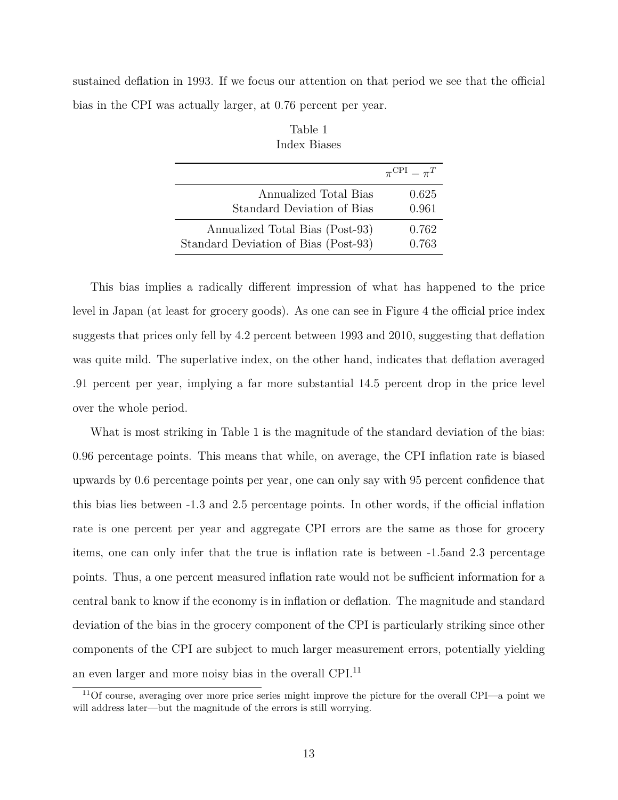<span id="page-14-0"></span>sustained deflation in 1993. If we focus our attention on that period we see that the official bias in the CPI was actually larger, at 0.76 percent per year.

|                                      | $\pi^{\rm CPI} - \pi^T$ |
|--------------------------------------|-------------------------|
| Annualized Total Bias                | 0.625                   |
| Standard Deviation of Bias           | 0.961                   |
| Annualized Total Bias (Post-93)      | 0.762                   |
| Standard Deviation of Bias (Post-93) | 0.763                   |

Table 1 Index Biases

This bias implies a radically different impression of what has happened to the price level in Japan (at least for grocery goods). As one can see in Figure [4](#page-15-0) the official price index suggests that prices only fell by 4.2 percent between 1993 and 2010, suggesting that deflation was quite mild. The superlative index, on the other hand, indicates that deflation averaged .91 percent per year, implying a far more substantial 14.5 percent drop in the price level over the whole period.

What is most striking in Table [1](#page-14-0) is the magnitude of the standard deviation of the bias: 0.96 percentage points. This means that while, on average, the CPI inflation rate is biased upwards by 0.6 percentage points per year, one can only say with 95 percent confidence that this bias lies between -1.3 and 2.5 percentage points. In other words, if the official inflation rate is one percent per year and aggregate CPI errors are the same as those for grocery items, one can only infer that the true is inflation rate is between -1.5and 2.3 percentage points. Thus, a one percent measured inflation rate would not be sufficient information for a central bank to know if the economy is in inflation or deflation. The magnitude and standard deviation of the bias in the grocery component of the CPI is particularly striking since other components of the CPI are subject to much larger measurement errors, potentially yielding an even larger and more noisy bias in the overall CPI.[11](#page-14-1)

<span id="page-14-1"></span><sup>11</sup>Of course, averaging over more price series might improve the picture for the overall CPI—a point we will address later—but the magnitude of the errors is still worrying.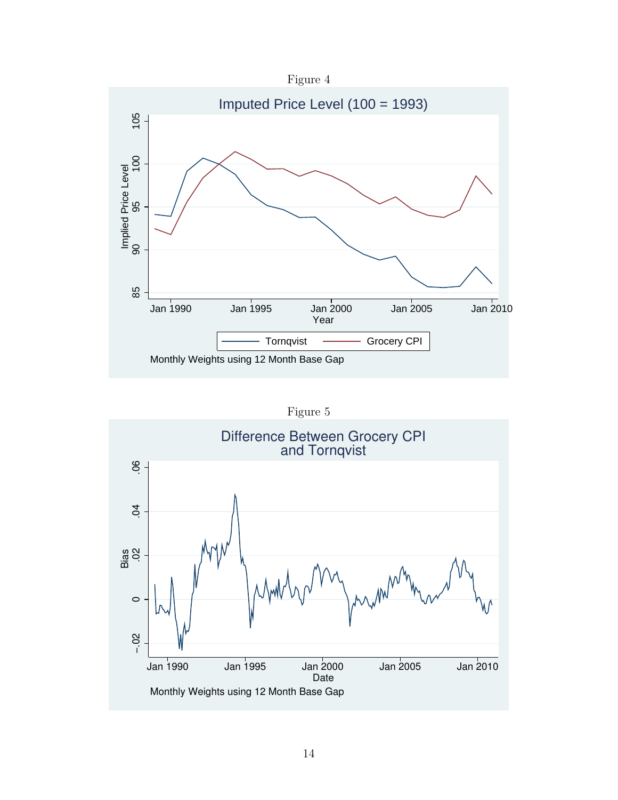

<span id="page-15-0"></span>

Figure 5

<span id="page-15-1"></span>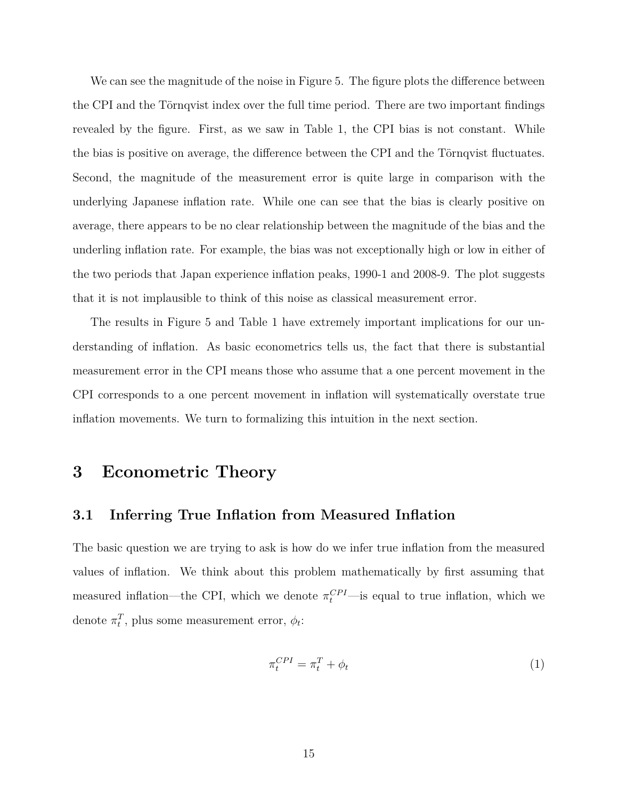We can see the magnitude of the noise in Figure [5.](#page-15-1) The figure plots the difference between the CPI and the Törnqvist index over the full time period. There are two important findings revealed by the figure. First, as we saw in Table [1,](#page-14-0) the CPI bias is not constant. While the bias is positive on average, the difference between the CPI and the Törnqvist fluctuates. Second, the magnitude of the measurement error is quite large in comparison with the underlying Japanese inflation rate. While one can see that the bias is clearly positive on average, there appears to be no clear relationship between the magnitude of the bias and the underling inflation rate. For example, the bias was not exceptionally high or low in either of the two periods that Japan experience inflation peaks, 1990-1 and 2008-9. The plot suggests that it is not implausible to think of this noise as classical measurement error.

The results in Figure [5](#page-15-1) and Table [1](#page-14-0) have extremely important implications for our understanding of inflation. As basic econometrics tells us, the fact that there is substantial measurement error in the CPI means those who assume that a one percent movement in the CPI corresponds to a one percent movement in inflation will systematically overstate true inflation movements. We turn to formalizing this intuition in the next section.

## <span id="page-16-0"></span>**3 Econometric Theory**

#### **3.1 Inferring True Inflation from Measured Inflation**

The basic question we are trying to ask is how do we infer true inflation from the measured values of inflation. We think about this problem mathematically by first assuming that measured inflation—the CPI, which we denote  $\pi_t^{CPI}$ —is equal to true inflation, which we denote  $\pi_t^T$ , plus some measurement error,  $\phi_t$ :

<span id="page-16-1"></span>
$$
\pi_t^{CPI} = \pi_t^T + \phi_t \tag{1}
$$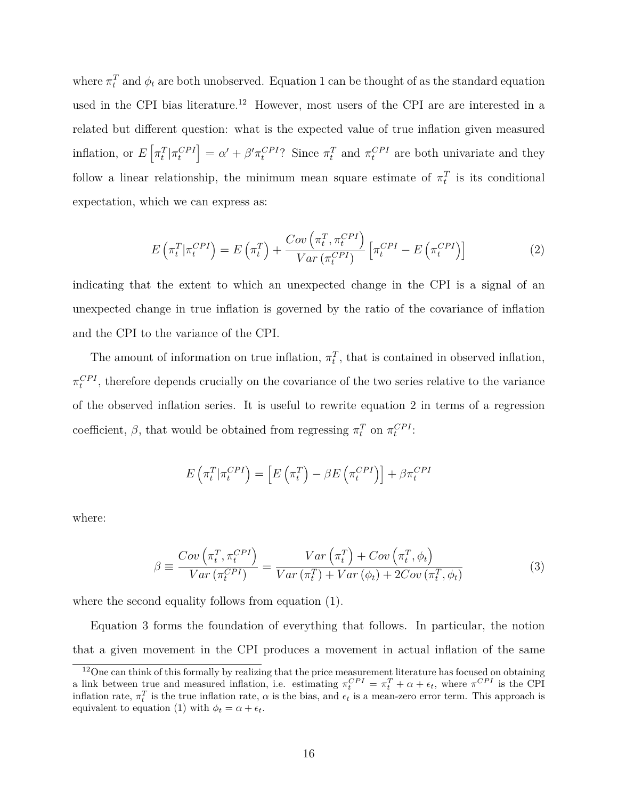where  $\pi_t^T$  and  $\phi_t$  are both unobserved. Equation [1](#page-16-1) can be thought of as the standard equation used in the CPI bias literature.<sup>[12](#page-17-0)</sup> However, most users of the CPI are are interested in a related but different question: what is the expected value of true inflation given measured inflation, or  $E\left[\pi_t^T|\pi_t^{CPI}\right] = \alpha' + \beta'\pi_t^{CPI}$ ? Since  $\pi_t^T$  and  $\pi_t^{CPI}$  are both univariate and they follow a linear relationship, the minimum mean square estimate of  $\pi_t^T$  is its conditional expectation, which we can express as:

<span id="page-17-1"></span>
$$
E\left(\pi_t^T | \pi_t^{CPI}\right) = E\left(\pi_t^T\right) + \frac{Cov\left(\pi_t^T, \pi_t^{CPI}\right)}{Var\left(\pi_t^{CPI}\right)} \left[\pi_t^{CPI} - E\left(\pi_t^{CPI}\right)\right]
$$
\n(2)

indicating that the extent to which an unexpected change in the CPI is a signal of an unexpected change in true inflation is governed by the ratio of the covariance of inflation and the CPI to the variance of the CPI.

The amount of information on true inflation,  $\pi_t^T$ , that is contained in observed inflation,  $\pi_t^{CPI}$ , therefore depends crucially on the covariance of the two series relative to the variance of the observed inflation series. It is useful to rewrite equation [2](#page-17-1) in terms of a regression coefficient,  $\beta$ , that would be obtained from regressing  $\pi_t^T$  on  $\pi_t^{CPI}$ :

$$
E\left(\pi_t^T | \pi_t^{CPI}\right) = \left[E\left(\pi_t^T\right) - \beta E\left(\pi_t^{CPI}\right)\right] + \beta \pi_t^{CPI}
$$

where:

<span id="page-17-2"></span>
$$
\beta \equiv \frac{Cov\left(\pi_t^T, \pi_t^{CPI}\right)}{Var\left(\pi_t^{CPI}\right)} = \frac{Var\left(\pi_t^T\right) + Cov\left(\pi_t^T, \phi_t\right)}{Var\left(\pi_t^T\right) + Var\left(\phi_t\right) + 2Cov\left(\pi_t^T, \phi_t\right)}\tag{3}
$$

where the second equality follows from equation [\(1\)](#page-16-1).

Equation [3](#page-17-2) forms the foundation of everything that follows. In particular, the notion that a given movement in the CPI produces a movement in actual inflation of the same

<span id="page-17-0"></span> $12$ One can think of this formally by realizing that the price measurement literature has focused on obtaining a link between true and measured inflation, i.e. estimating  $\pi_t^{CPI} = \pi_t^T + \alpha + \epsilon_t$ , where  $\pi^{CPI}$  is the CPI inflation rate,  $\pi_t^T$  is the true inflation rate,  $\alpha$  is the bias, and  $\epsilon_t$  is a mean-zero error term. This approach is equivalent to equation [\(1\)](#page-16-1) with  $\phi_t = \alpha + \epsilon_t$ .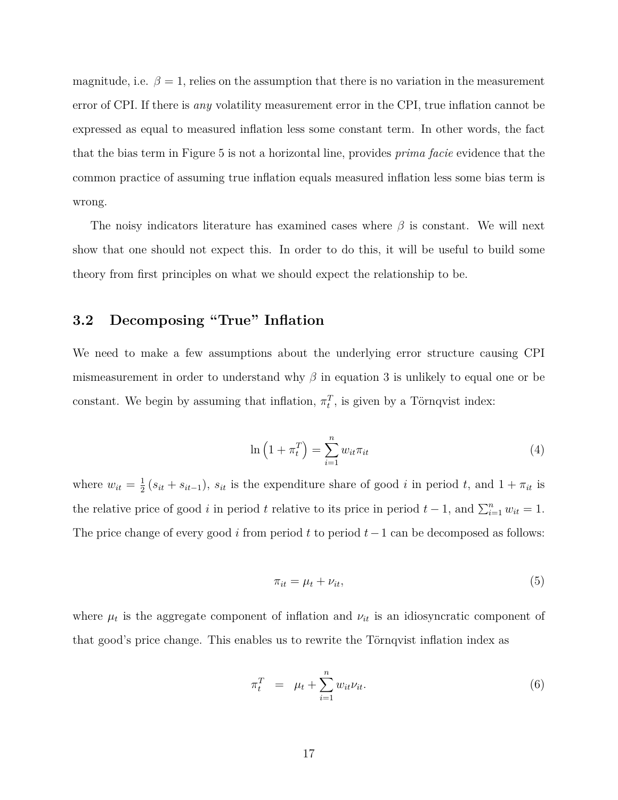magnitude, i.e.  $\beta = 1$ , relies on the assumption that there is no variation in the measurement error of CPI. If there is *any* volatility measurement error in the CPI, true inflation cannot be expressed as equal to measured inflation less some constant term. In other words, the fact that the bias term in Figure [5](#page-15-1) is not a horizontal line, provides *prima facie* evidence that the common practice of assuming true inflation equals measured inflation less some bias term is wrong.

The noisy indicators literature has examined cases where *β* is constant. We will next show that one should not expect this. In order to do this, it will be useful to build some theory from first principles on what we should expect the relationship to be.

### **3.2 Decomposing "True" Inflation**

We need to make a few assumptions about the underlying error structure causing CPI mismeasurement in order to understand why  $\beta$  in equation [3](#page-17-2) is unlikely to equal one or be constant. We begin by assuming that inflation,  $\pi_t^T$ , is given by a Törnqvist index:

<span id="page-18-0"></span>
$$
\ln\left(1+\pi_t^T\right) = \sum_{i=1}^n w_{it}\pi_{it} \tag{4}
$$

where  $w_{it} = \frac{1}{2}$  $\frac{1}{2}(s_{it} + s_{it-1}), s_{it}$  is the expenditure share of good *i* in period *t*, and  $1 + \pi_{it}$  is the relative price of good *i* in period *t* relative to its price in period  $t - 1$ , and  $\sum_{i=1}^{n} w_{it} = 1$ . The price change of every good *i* from period *t* to period *t*−1 can be decomposed as follows:

<span id="page-18-1"></span>
$$
\pi_{it} = \mu_t + \nu_{it},\tag{5}
$$

where  $\mu_t$  is the aggregate component of inflation and  $\nu_{it}$  is an idiosyncratic component of that good's price change. This enables us to rewrite the Törnqvist inflation index as

$$
\pi_t^T = \mu_t + \sum_{i=1}^n w_{it} \nu_{it}.
$$
\n
$$
(6)
$$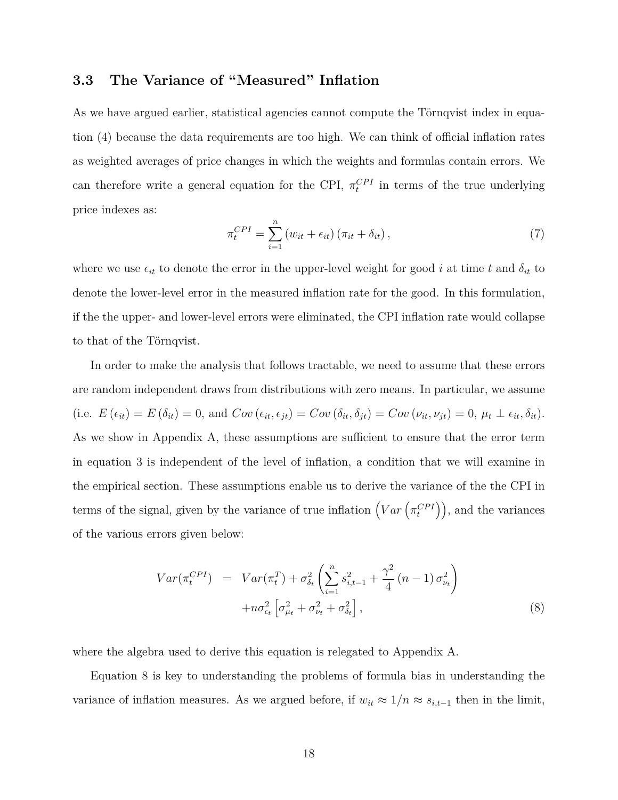## **3.3 The Variance of "Measured" Inflation**

As we have argued earlier, statistical agencies cannot compute the Törnqvist index in equation [\(4\)](#page-18-0) because the data requirements are too high. We can think of official inflation rates as weighted averages of price changes in which the weights and formulas contain errors. We can therefore write a general equation for the CPI,  $\pi_t^{CPI}$  in terms of the true underlying price indexes as:

$$
\pi_t^{CPI} = \sum_{i=1}^n \left( w_{it} + \epsilon_{it} \right) \left( \pi_{it} + \delta_{it} \right),\tag{7}
$$

where we use  $\epsilon_{it}$  to denote the error in the upper-level weight for good *i* at time *t* and  $\delta_{it}$  to denote the lower-level error in the measured inflation rate for the good. In this formulation, if the the upper- and lower-level errors were eliminated, the CPI inflation rate would collapse to that of the Törnqvist.

In order to make the analysis that follows tractable, we need to assume that these errors are random independent draws from distributions with zero means. In particular, we assume (i.e.  $E(\epsilon_{it}) = E(\delta_{it}) = 0$ , and  $Cov(\epsilon_{it}, \epsilon_{jt}) = Cov(\delta_{it}, \delta_{jt}) = Cov(\nu_{it}, \nu_{jt}) = 0$ ,  $\mu_t \perp \epsilon_{it}, \delta_{it}$ ). As we show in [Appendix A,](#page-43-0) these assumptions are sufficient to ensure that the error term in equation [3](#page-17-2) is independent of the level of inflation, a condition that we will examine in the empirical section. These assumptions enable us to derive the variance of the the CPI in terms of the signal, given by the variance of true inflation  $(Var\left(\pi_t^{CPI}\right))$ , and the variances of the various errors given below:

<span id="page-19-0"></span>
$$
Var(\pi_t^{CPI}) = Var(\pi_t^T) + \sigma_{\delta_t}^2 \left( \sum_{i=1}^n s_{i,t-1}^2 + \frac{\gamma^2}{4} (n-1) \sigma_{\nu_t}^2 \right) + n \sigma_{\epsilon_t}^2 \left[ \sigma_{\mu_t}^2 + \sigma_{\nu_t}^2 + \sigma_{\delta_t}^2 \right],
$$
\n(8)

where the algebra used to derive this equation is relegated to [Appendix A.](#page-43-0)

Equation [8](#page-19-0) is key to understanding the problems of formula bias in understanding the variance of inflation measures. As we argued before, if  $w_{it} \approx 1/n \approx s_{i,t-1}$  then in the limit,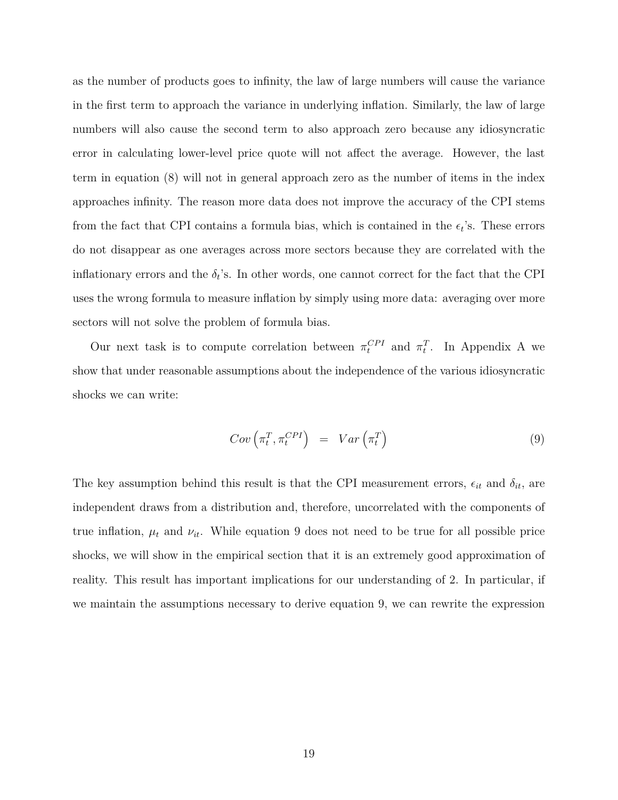as the number of products goes to infinity, the law of large numbers will cause the variance in the first term to approach the variance in underlying inflation. Similarly, the law of large numbers will also cause the second term to also approach zero because any idiosyncratic error in calculating lower-level price quote will not affect the average. However, the last term in equation [\(8\)](#page-19-0) will not in general approach zero as the number of items in the index approaches infinity. The reason more data does not improve the accuracy of the CPI stems from the fact that CPI contains a formula bias, which is contained in the  $\epsilon_t$ 's. These errors do not disappear as one averages across more sectors because they are correlated with the inflationary errors and the  $\delta_t$ 's. In other words, one cannot correct for the fact that the CPI uses the wrong formula to measure inflation by simply using more data: averaging over more sectors will not solve the problem of formula bias.

Our next task is to compute correlation between  $\pi_t^{CPI}$  and  $\pi_t^T$ . In [Appendix A](#page-43-0) we show that under reasonable assumptions about the independence of the various idiosyncratic shocks we can write:

<span id="page-20-0"></span>
$$
Cov\left(\pi_t^T, \pi_t^{CPI}\right) = Var\left(\pi_t^T\right) \tag{9}
$$

The key assumption behind this result is that the CPI measurement errors,  $\epsilon_{it}$  and  $\delta_{it}$ , are independent draws from a distribution and, therefore, uncorrelated with the components of true inflation,  $\mu_t$  and  $\nu_{it}$ . While equation [9](#page-20-0) does not need to be true for all possible price shocks, we will show in the empirical section that it is an extremely good approximation of reality. This result has important implications for our understanding of [2.](#page-17-1) In particular, if we maintain the assumptions necessary to derive equation [9,](#page-20-0) we can rewrite the expression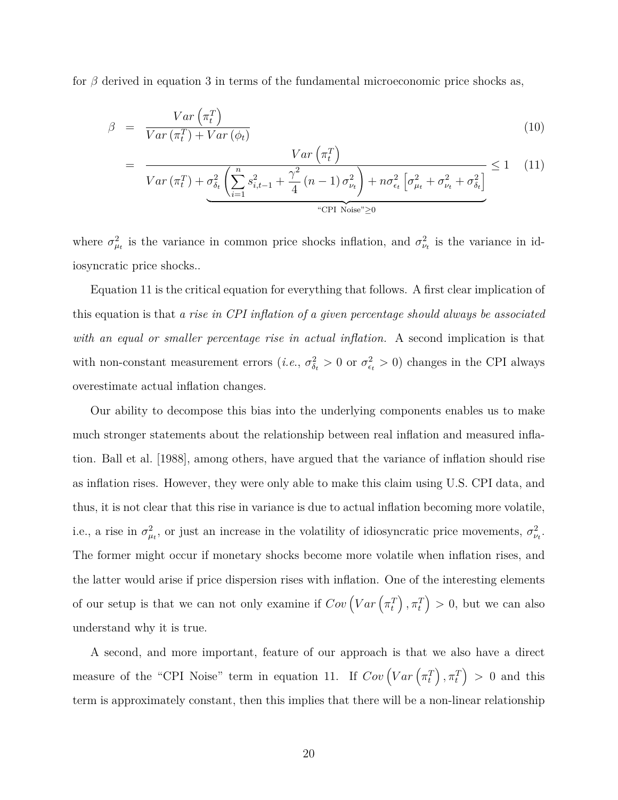for  $\beta$  derived in equation [3](#page-17-2) in terms of the fundamental microeconomic price shocks as,

<span id="page-21-0"></span>
$$
\beta = \frac{Var\left(\pi_t^T\right)}{Var\left(\pi_t^T\right) + Var\left(\phi_t\right)}\tag{10}
$$

$$
= \frac{Var(\pi_t^T)}{Var(\pi_t^T) + \sigma_{\delta_t}^2 \left(\sum_{i=1}^n s_{i,t-1}^2 + \frac{\gamma^2}{4} (n-1) \sigma_{\nu_t}^2\right) + n \sigma_{\epsilon_t}^2 \left[\sigma_{\mu_t}^2 + \sigma_{\nu_t}^2 + \sigma_{\delta_t}^2\right]} \le 1 \quad (11)
$$

where  $\sigma_{\mu}^2$  is the variance in common price shocks inflation, and  $\sigma_{\nu}^2$  is the variance in idiosyncratic price shocks..

Equation [11](#page-21-0) is the critical equation for everything that follows. A first clear implication of this equation is that *a rise in CPI inflation of a given percentage should always be associated with an equal or smaller percentage rise in actual inflation.* A second implication is that with non-constant measurement errors  $(i.e., \sigma_{\delta_t}^2 > 0 \text{ or } \sigma_{\epsilon_t}^2 > 0)$  changes in the CPI always overestimate actual inflation changes.

Our ability to decompose this bias into the underlying components enables us to make much stronger statements about the relationship between real inflation and measured inflation. [Ball et al.](#page-41-3) [\[1988\]](#page-41-3), among others, have argued that the variance of inflation should rise as inflation rises. However, they were only able to make this claim using U.S. CPI data, and thus, it is not clear that this rise in variance is due to actual inflation becoming more volatile, i.e., a rise in  $\sigma_{\mu}^2$ , or just an increase in the volatility of idiosyncratic price movements,  $\sigma_{\nu}^2$ . The former might occur if monetary shocks become more volatile when inflation rises, and the latter would arise if price dispersion rises with inflation. One of the interesting elements of our setup is that we can not only examine if  $Cov\left( Var\left( \pi_t^T \right), \pi_t^T \right) > 0$ , but we can also understand why it is true.

A second, and more important, feature of our approach is that we also have a direct measure of the "CPI Noise" term in equation [11.](#page-21-0) If  $Cov\left( Var\left( \pi_t^T \right), \pi_t^T \right) > 0$  and this term is approximately constant, then this implies that there will be a non-linear relationship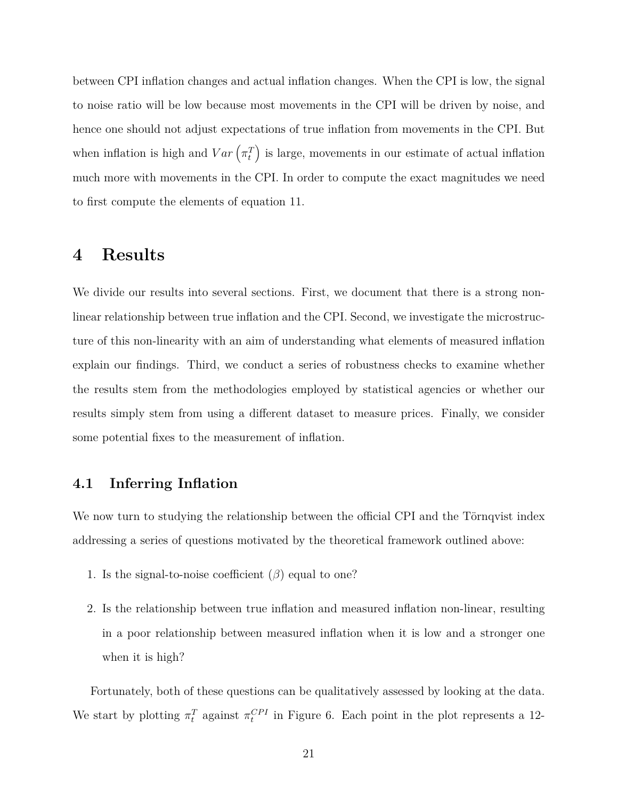between CPI inflation changes and actual inflation changes. When the CPI is low, the signal to noise ratio will be low because most movements in the CPI will be driven by noise, and hence one should not adjust expectations of true inflation from movements in the CPI. But when inflation is high and  $Var\left(\pi_t^T\right)$  is large, movements in our estimate of actual inflation much more with movements in the CPI. In order to compute the exact magnitudes we need to first compute the elements of equation [11.](#page-21-0)

## <span id="page-22-0"></span>**4 Results**

We divide our results into several sections. First, we document that there is a strong nonlinear relationship between true inflation and the CPI. Second, we investigate the microstructure of this non-linearity with an aim of understanding what elements of measured inflation explain our findings. Third, we conduct a series of robustness checks to examine whether the results stem from the methodologies employed by statistical agencies or whether our results simply stem from using a different dataset to measure prices. Finally, we consider some potential fixes to the measurement of inflation.

#### **4.1 Inferring Inflation**

We now turn to studying the relationship between the official CPI and the Törnqvist index addressing a series of questions motivated by the theoretical framework outlined above:

- 1. Is the signal-to-noise coefficient  $(\beta)$  equal to one?
- 2. Is the relationship between true inflation and measured inflation non-linear, resulting in a poor relationship between measured inflation when it is low and a stronger one when it is high?

Fortunately, both of these questions can be qualitatively assessed by looking at the data. We start by plotting  $\pi_t^T$  against  $\pi_t^{CPI}$  in Figure [6.](#page-23-0) Each point in the plot represents a 12-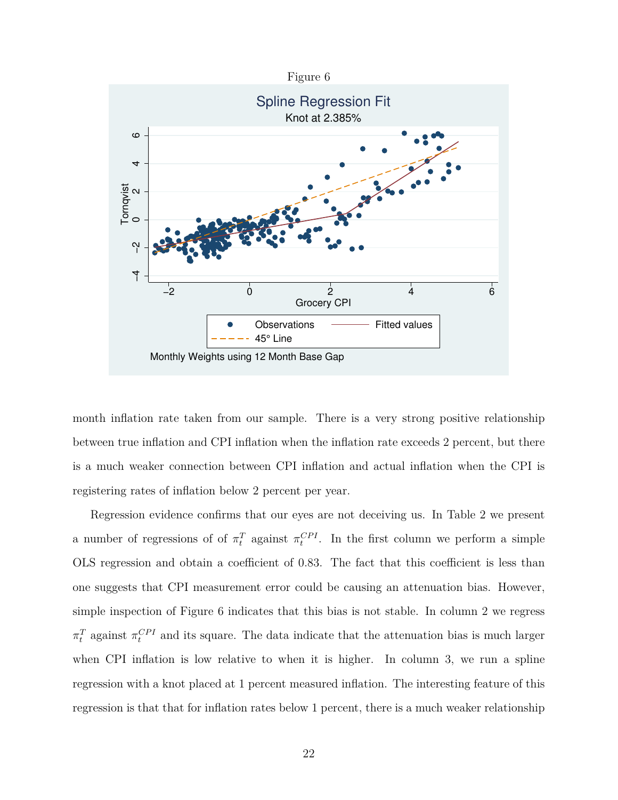<span id="page-23-0"></span>

month inflation rate taken from our sample. There is a very strong positive relationship between true inflation and CPI inflation when the inflation rate exceeds 2 percent, but there is a much weaker connection between CPI inflation and actual inflation when the CPI is registering rates of inflation below 2 percent per year.

Regression evidence confirms that our eyes are not deceiving us. In Table [2](#page-24-0) we present a number of regressions of of  $\pi_t^T$  against  $\pi_t^{CPI}$ . In the first column we perform a simple OLS regression and obtain a coefficient of 0.83. The fact that this coefficient is less than one suggests that CPI measurement error could be causing an attenuation bias. However, simple inspection of Figure [6](#page-23-0) indicates that this bias is not stable. In column 2 we regress  $\pi_t^T$  against  $\pi_t^{CPI}$  and its square. The data indicate that the attenuation bias is much larger when CPI inflation is low relative to when it is higher. In column 3, we run a spline regression with a knot placed at 1 percent measured inflation. The interesting feature of this regression is that that for inflation rates below 1 percent, there is a much weaker relationship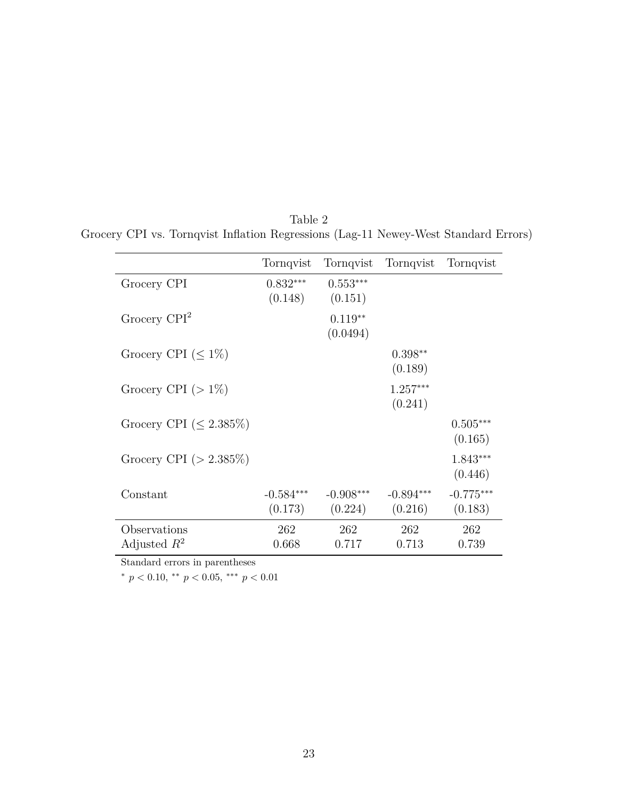|                                | Tornqvist              | Tornqvist              | Tornqvist              | Tornqvist              |
|--------------------------------|------------------------|------------------------|------------------------|------------------------|
| Grocery CPI                    | $0.832***$<br>(0.148)  | $0.553***$<br>(0.151)  |                        |                        |
| Grocery $\mathbb{C}PI^2$       |                        | $0.119**$<br>(0.0494)  |                        |                        |
| Grocery CPI ( $\leq 1\%$ )     |                        |                        | $0.398**$<br>(0.189)   |                        |
| Grocery CPI $(>1\%)$           |                        |                        | $1.257***$<br>(0.241)  |                        |
| Grocery CPI ( $\leq 2.385\%$ ) |                        |                        |                        | $0.505***$<br>(0.165)  |
| Grocery CPI ( $> 2.385\%$ )    |                        |                        |                        | 1.843***<br>(0.446)    |
| Constant                       | $-0.584***$<br>(0.173) | $-0.908***$<br>(0.224) | $-0.894***$<br>(0.216) | $-0.775***$<br>(0.183) |
| Observations<br>Adjusted $R^2$ | 262<br>0.668           | 262<br>0.717           | 262<br>0.713           | 262<br>0.739           |

<span id="page-24-0"></span>Table 2 Grocery CPI vs. Tornqvist Inflation Regressions (Lag-11 Newey-West Standard Errors)

Standard errors in parentheses

<sup>∗</sup> *p <* 0*.*10, ∗∗ *p <* 0*.*05, ∗∗∗ *p <* 0*.*01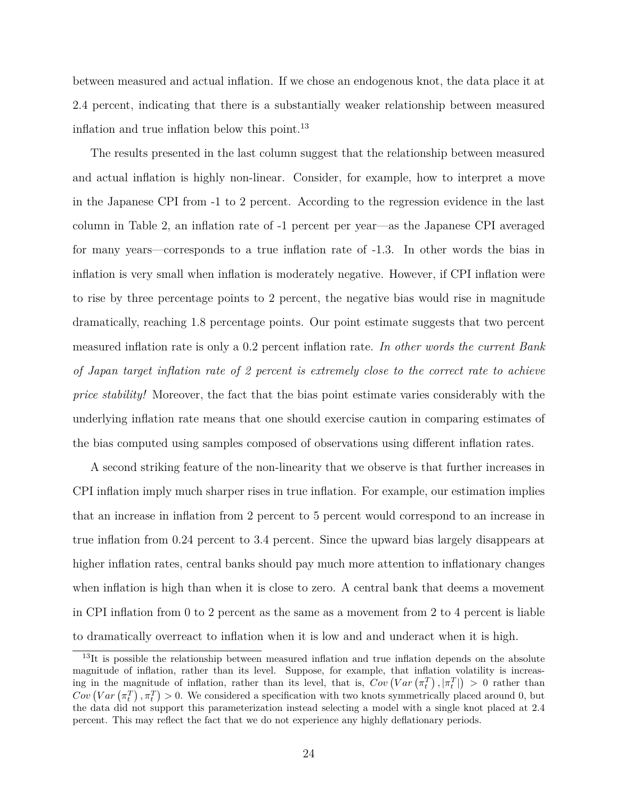between measured and actual inflation. If we chose an endogenous knot, the data place it at 2.4 percent, indicating that there is a substantially weaker relationship between measured inflation and true inflation below this point.<sup>[13](#page-25-0)</sup>

The results presented in the last column suggest that the relationship between measured and actual inflation is highly non-linear. Consider, for example, how to interpret a move in the Japanese CPI from -1 to 2 percent. According to the regression evidence in the last column in Table [2,](#page-24-0) an inflation rate of -1 percent per year—as the Japanese CPI averaged for many years—corresponds to a true inflation rate of -1.3. In other words the bias in inflation is very small when inflation is moderately negative. However, if CPI inflation were to rise by three percentage points to 2 percent, the negative bias would rise in magnitude dramatically, reaching 1.8 percentage points. Our point estimate suggests that two percent measured inflation rate is only a 0.2 percent inflation rate. *In other words the current Bank of Japan target inflation rate of 2 percent is extremely close to the correct rate to achieve price stability!* Moreover, the fact that the bias point estimate varies considerably with the underlying inflation rate means that one should exercise caution in comparing estimates of the bias computed using samples composed of observations using different inflation rates.

A second striking feature of the non-linearity that we observe is that further increases in CPI inflation imply much sharper rises in true inflation. For example, our estimation implies that an increase in inflation from 2 percent to 5 percent would correspond to an increase in true inflation from 0.24 percent to 3.4 percent. Since the upward bias largely disappears at higher inflation rates, central banks should pay much more attention to inflationary changes when inflation is high than when it is close to zero. A central bank that deems a movement in CPI inflation from 0 to 2 percent as the same as a movement from 2 to 4 percent is liable to dramatically overreact to inflation when it is low and and underact when it is high.

<span id="page-25-0"></span><sup>&</sup>lt;sup>13</sup>It is possible the relationship between measured inflation and true inflation depends on the absolute magnitude of inflation, rather than its level. Suppose, for example, that inflation volatility is increasing in the magnitude of inflation, rather than its level, that is,  $Cov\left( Var\left( \pi_t^T \right), \left| \pi_t^T \right| \right) > 0$  rather than  $Cov\left( Var\left( \pi_{t}^{T}\right), \pi_{t}^{T}\right) > 0$ . We considered a specification with two knots symmetrically placed around 0, but the data did not support this parameterization instead selecting a model with a single knot placed at 2.4 percent. This may reflect the fact that we do not experience any highly deflationary periods.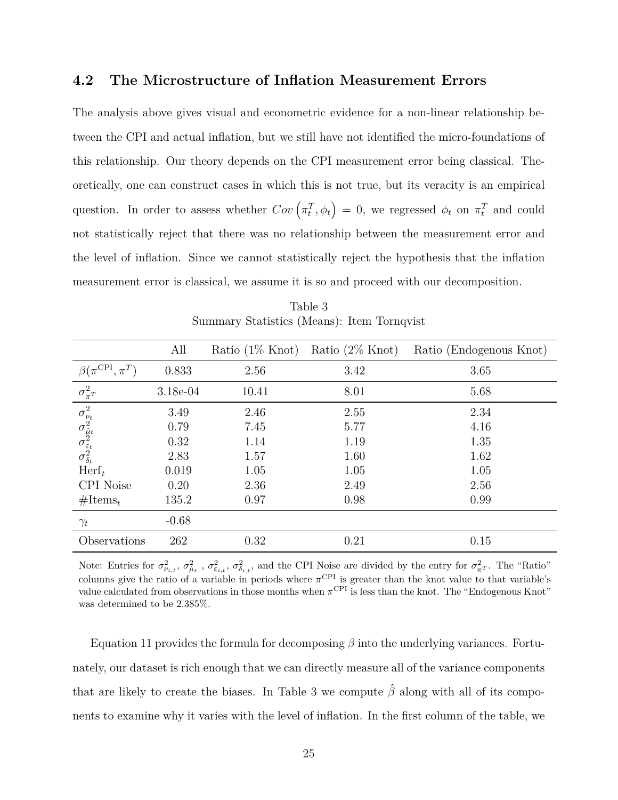#### **4.2 The Microstructure of Inflation Measurement Errors**

The analysis above gives visual and econometric evidence for a non-linear relationship between the CPI and actual inflation, but we still have not identified the micro-foundations of this relationship. Our theory depends on the CPI measurement error being classical. Theoretically, one can construct cases in which this is not true, but its veracity is an empirical question. In order to assess whether  $Cov(\pi_t^T, \phi_t) = 0$ , we regressed  $\phi_t$  on  $\pi_t^T$  and could not statistically reject that there was no relationship between the measurement error and the level of inflation. Since we cannot statistically reject the hypothesis that the inflation measurement error is classical, we assume it is so and proceed with our decomposition.

<span id="page-26-0"></span>

|                                                                                                                              | All      | Ratio $(1\%$ Knot) | Ratio $(2\%$ Knot) | Ratio (Endogenous Knot) |
|------------------------------------------------------------------------------------------------------------------------------|----------|--------------------|--------------------|-------------------------|
| $\beta(\pi^{\mathrm{CPI}},$<br>$\pi^T$                                                                                       | 0.833    | 2.56               | 3.42               | 3.65                    |
| $\overline{\sigma_{\pi^T}^2}$                                                                                                | 3.18e-04 | 10.41              | 8.01               | 5.68                    |
| $\begin{array}{c} \sigma_{\nu_t}^2 \\ \sigma_{\hat{\mu}_t}^2 \\ \sigma_{\varepsilon_t}^2 \\ \sigma_{\delta_t}^2 \end{array}$ | 3.49     | 2.46               | 2.55               | 2.34                    |
|                                                                                                                              | 0.79     | 7.45               | 5.77               | 4.16                    |
|                                                                                                                              | 0.32     | 1.14               | 1.19               | 1.35                    |
|                                                                                                                              | 2.83     | 1.57               | 1.60               | 1.62                    |
| $\operatorname{Herf}_t$                                                                                                      | 0.019    | 1.05               | 1.05               | 1.05                    |
| <b>CPI</b> Noise                                                                                                             | 0.20     | 2.36               | 2.49               | 2.56                    |
| $\#\mathrm{Items}_{t}$                                                                                                       | 135.2    | 0.97               | 0.98               | 0.99                    |
| $\gamma_t$                                                                                                                   | $-0.68$  |                    |                    |                         |
| Observations                                                                                                                 | 262      | 0.32               | 0.21               | 0.15                    |

Table 3 Summary Statistics (Means): Item Tornqvist

Note: Entries for  $\sigma_{\nu_{i,t}}^2$ ,  $\sigma_{\hat{\mu}_t}^2$ ,  $\sigma_{\varepsilon_{i,t}}^2$ ,  $\sigma_{\delta_{i,t}}^2$ , and the CPI Noise are divided by the entry for  $\sigma_{\pi}^2$ . The "Ratio" columns give the ratio of a variable in periods where  $\pi^{\text{CPI}}$  is greater than the knot value to that variable's value calculated from observations in those months when  $\pi^{\text{CPI}}$  is less than the knot. The "Endogenous Knot" was determined to be 2.385%.

Equation [11](#page-21-0) provides the formula for decomposing *β* into the underlying variances. Fortunately, our dataset is rich enough that we can directly measure all of the variance components that are likely to create the biases. In Table [3](#page-26-0) we compute *β*ˆ along with all of its components to examine why it varies with the level of inflation. In the first column of the table, we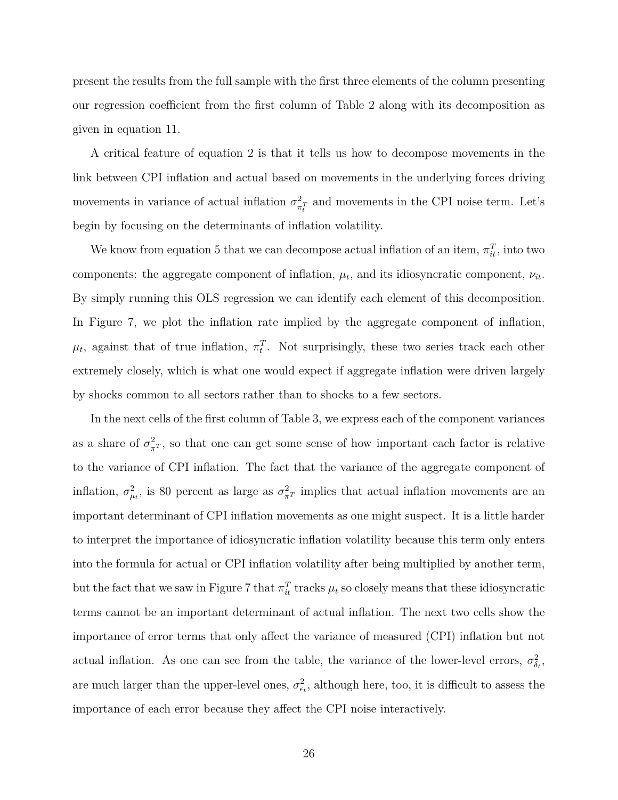present the results from the full sample with the first three elements of the column presenting our regression coefficient from the first column of Table [2](#page-24-0) along with its decomposition as given in equation [11.](#page-21-0)

A critical feature of equation [2](#page-24-0) is that it tells us how to decompose movements in the link between CPI inflation and actual based on movements in the underlying forces driving movements in variance of actual inflation  $\sigma_{\pi}^2$  $\frac{2}{\pi t}$  and movements in the CPI noise term. Let's begin by focusing on the determinants of inflation volatility.

We know from equation [5](#page-18-1) that we can decompose actual inflation of an item,  $\pi_{it}^T$ , into two components: the aggregate component of inflation,  $\mu_t$ , and its idiosyncratic component,  $\nu_{it}$ . By simply running this OLS regression we can identify each element of this decomposition. In Figure [7,](#page-28-0) we plot the inflation rate implied by the aggregate component of inflation,  $\mu_t$ , against that of true inflation,  $\pi_t^T$ . Not surprisingly, these two series track each other extremely closely, which is what one would expect if aggregate inflation were driven largely by shocks common to all sectors rather than to shocks to a few sectors.

In the next cells of the first column of Table [3,](#page-26-0) we express each of the component variances as a share of  $\sigma_{\pi^T}^2$ , so that one can get some sense of how important each factor is relative to the variance of CPI inflation. The fact that the variance of the aggregate component of inflation,  $\sigma_{\mu}^2$ , is 80 percent as large as  $\sigma_{\pi}^2$  implies that actual inflation movements are an important determinant of CPI inflation movements as one might suspect. It is a little harder to interpret the importance of idiosyncratic inflation volatility because this term only enters into the formula for actual or CPI inflation volatility after being multiplied by another term, but the fact that we saw in Figure [7](#page-28-0) that  $\pi_{it}^T$  tracks  $\mu_t$  so closely means that these idiosyncratic terms cannot be an important determinant of actual inflation. The next two cells show the importance of error terms that only affect the variance of measured (CPI) inflation but not actual inflation. As one can see from the table, the variance of the lower-level errors,  $\sigma_{\delta_t}^2$ , are much larger than the upper-level ones,  $\sigma_{\epsilon_t}^2$ , although here, too, it is difficult to assess the importance of each error because they affect the CPI noise interactively.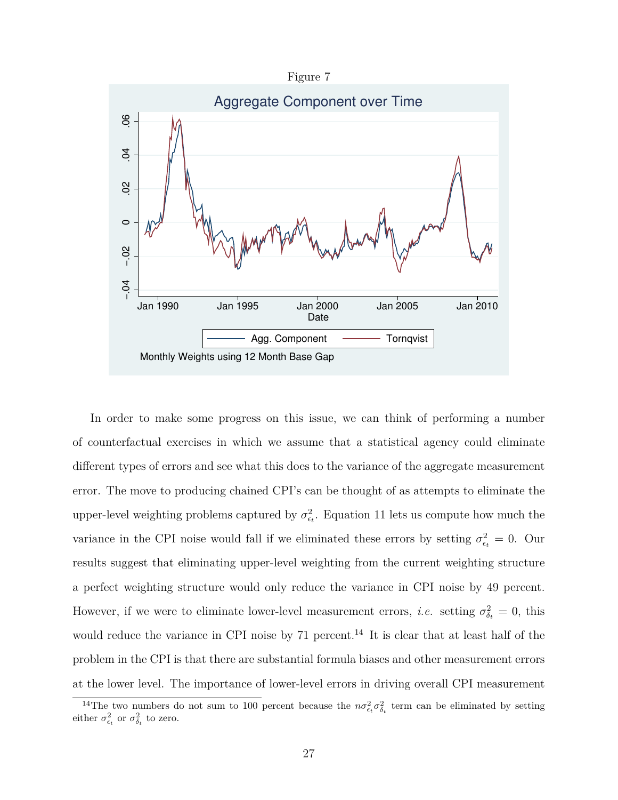Figure 7

<span id="page-28-0"></span>

In order to make some progress on this issue, we can think of performing a number of counterfactual exercises in which we assume that a statistical agency could eliminate different types of errors and see what this does to the variance of the aggregate measurement error. The move to producing chained CPI's can be thought of as attempts to eliminate the upper-level weighting problems captured by  $\sigma_{\epsilon_t}^2$ . Equation [11](#page-21-0) lets us compute how much the variance in the CPI noise would fall if we eliminated these errors by setting  $\sigma_{\epsilon_t}^2 = 0$ . Our results suggest that eliminating upper-level weighting from the current weighting structure a perfect weighting structure would only reduce the variance in CPI noise by 49 percent. However, if we were to eliminate lower-level measurement errors, *i.e.* setting  $\sigma_{\delta_t}^2 = 0$ , this would reduce the variance in CPI noise by  $71$  percent.<sup>[14](#page-28-1)</sup> It is clear that at least half of the problem in the CPI is that there are substantial formula biases and other measurement errors at the lower level. The importance of lower-level errors in driving overall CPI measurement

<span id="page-28-1"></span><sup>&</sup>lt;sup>14</sup>The two numbers do not sum to 100 percent because the  $n\sigma_{\epsilon_t}^2 \sigma_{\delta_t}^2$  term can be eliminated by setting either  $\sigma_{\epsilon_t}^2$  or  $\sigma_{\delta_t}^2$  to zero.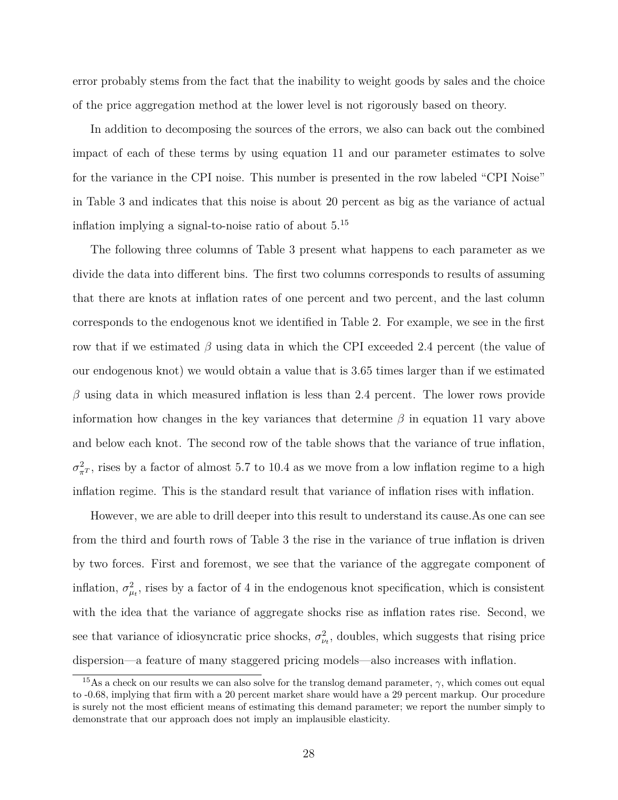error probably stems from the fact that the inability to weight goods by sales and the choice of the price aggregation method at the lower level is not rigorously based on theory.

In addition to decomposing the sources of the errors, we also can back out the combined impact of each of these terms by using equation [11](#page-21-0) and our parameter estimates to solve for the variance in the CPI noise. This number is presented in the row labeled "CPI Noise" in Table [3](#page-26-0) and indicates that this noise is about 20 percent as big as the variance of actual inflation implying a signal-to-noise ratio of about 5.[15](#page-29-0)

The following three columns of Table [3](#page-26-0) present what happens to each parameter as we divide the data into different bins. The first two columns corresponds to results of assuming that there are knots at inflation rates of one percent and two percent, and the last column corresponds to the endogenous knot we identified in Table [2.](#page-24-0) For example, we see in the first row that if we estimated  $\beta$  using data in which the CPI exceeded 2.4 percent (the value of our endogenous knot) we would obtain a value that is 3.65 times larger than if we estimated *β* using data in which measured inflation is less than 2.4 percent. The lower rows provide information how changes in the key variances that determine  $\beta$  in equation [11](#page-21-0) vary above and below each knot. The second row of the table shows that the variance of true inflation,  $\sigma_{\pi^T}^2$ , rises by a factor of almost 5.7 to 10.4 as we move from a low inflation regime to a high inflation regime. This is the standard result that variance of inflation rises with inflation.

However, we are able to drill deeper into this result to understand its cause.As one can see from the third and fourth rows of Table [3](#page-26-0) the rise in the variance of true inflation is driven by two forces. First and foremost, we see that the variance of the aggregate component of inflation,  $\sigma_{\mu}^2$ , rises by a factor of 4 in the endogenous knot specification, which is consistent with the idea that the variance of aggregate shocks rise as inflation rates rise. Second, we see that variance of idiosyncratic price shocks,  $\sigma_{\nu_t}^2$ , doubles, which suggests that rising price dispersion—a feature of many staggered pricing models—also increases with inflation.

<span id="page-29-0"></span><sup>&</sup>lt;sup>15</sup>As a check on our results we can also solve for the translog demand parameter,  $\gamma$ , which comes out equal to -0.68, implying that firm with a 20 percent market share would have a 29 percent markup. Our procedure is surely not the most efficient means of estimating this demand parameter; we report the number simply to demonstrate that our approach does not imply an implausible elasticity.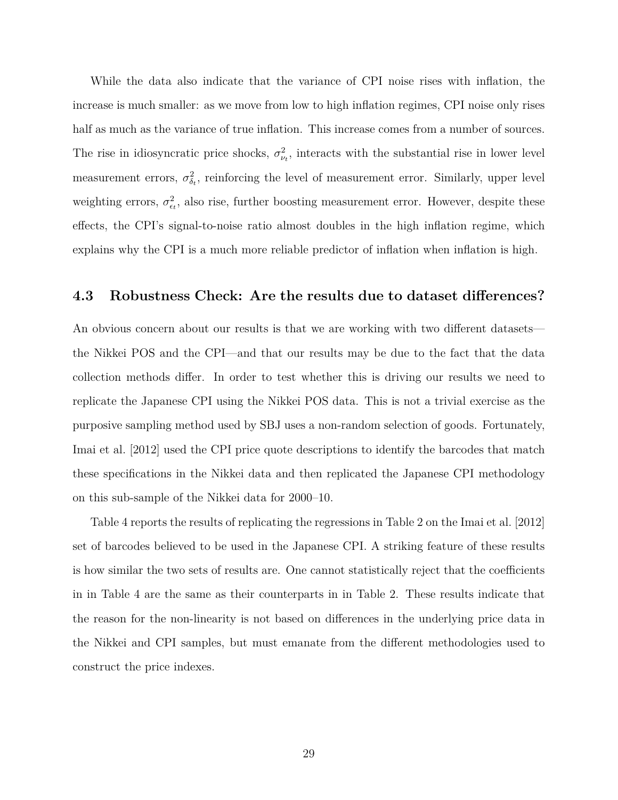While the data also indicate that the variance of CPI noise rises with inflation, the increase is much smaller: as we move from low to high inflation regimes, CPI noise only rises half as much as the variance of true inflation. This increase comes from a number of sources. The rise in idiosyncratic price shocks,  $\sigma_{\nu_t}^2$ , interacts with the substantial rise in lower level measurement errors,  $\sigma_{\delta_t}^2$ , reinforcing the level of measurement error. Similarly, upper level weighting errors,  $\sigma_{\epsilon_t}^2$ , also rise, further boosting measurement error. However, despite these effects, the CPI's signal-to-noise ratio almost doubles in the high inflation regime, which explains why the CPI is a much more reliable predictor of inflation when inflation is high.

#### **4.3 Robustness Check: Are the results due to dataset differences?**

An obvious concern about our results is that we are working with two different datasets the Nikkei POS and the CPI—and that our results may be due to the fact that the data collection methods differ. In order to test whether this is driving our results we need to replicate the Japanese CPI using the Nikkei POS data. This is not a trivial exercise as the purposive sampling method used by SBJ uses a non-random selection of goods. Fortunately, [Imai et al.](#page-41-13) [\[2012\]](#page-41-13) used the CPI price quote descriptions to identify the barcodes that match these specifications in the Nikkei data and then replicated the Japanese CPI methodology on this sub-sample of the Nikkei data for 2000–10.

Table [4](#page-31-0) reports the results of replicating the regressions in Table [2](#page-24-0) on the [Imai et al.](#page-41-13) [\[2012\]](#page-41-13) set of barcodes believed to be used in the Japanese CPI. A striking feature of these results is how similar the two sets of results are. One cannot statistically reject that the coefficients in in Table [4](#page-31-0) are the same as their counterparts in in Table [2.](#page-24-0) These results indicate that the reason for the non-linearity is not based on differences in the underlying price data in the Nikkei and CPI samples, but must emanate from the different methodologies used to construct the price indexes.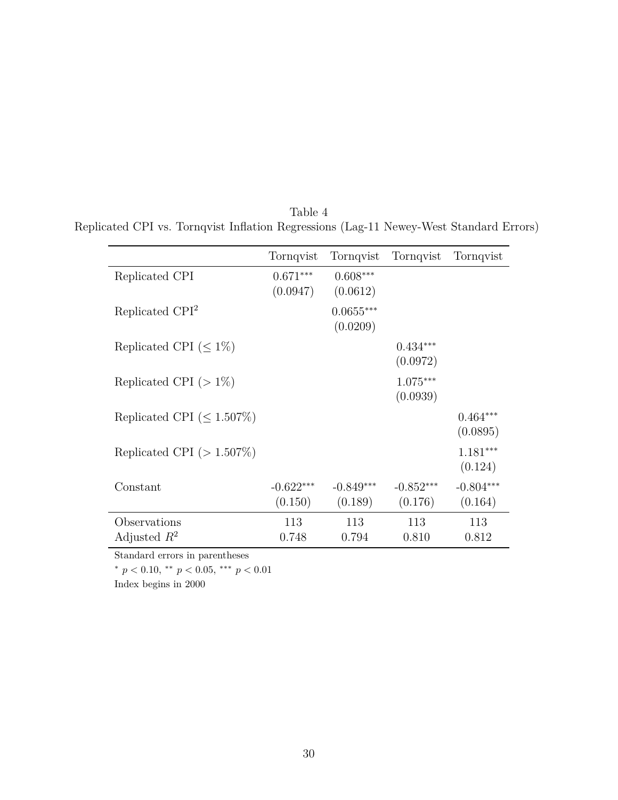|                                   | Tornqvist              | Tornqvist               | Tornqvist              | Tornqvist              |
|-----------------------------------|------------------------|-------------------------|------------------------|------------------------|
| Replicated CPI                    | $0.671***$<br>(0.0947) | $0.608***$<br>(0.0612)  |                        |                        |
| Replicated CPI <sup>2</sup>       |                        | $0.0655***$<br>(0.0209) |                        |                        |
| Replicated CPI ( $\leq 1\%$ )     |                        |                         | $0.434***$<br>(0.0972) |                        |
| Replicated CPI $(>1\%)$           |                        |                         | $1.075***$<br>(0.0939) |                        |
| Replicated CPI ( $\leq 1.507\%$ ) |                        |                         |                        | $0.464***$<br>(0.0895) |
| Replicated CPI $(>1.507\%)$       |                        |                         |                        | $1.181***$<br>(0.124)  |
| Constant                          | $-0.622***$<br>(0.150) | $-0.849***$<br>(0.189)  | $-0.852***$<br>(0.176) | $-0.804***$<br>(0.164) |
| Observations<br>Adjusted $R^2$    | 113<br>0.748           | 113<br>0.794            | 113<br>0.810           | 113<br>0.812           |

<span id="page-31-0"></span>Table 4 Replicated CPI vs. Tornqvist Inflation Regressions (Lag-11 Newey-West Standard Errors)

Standard errors in parentheses

<sup>∗</sup> *p <* 0*.*10, ∗∗ *p <* 0*.*05, ∗∗∗ *p <* 0*.*01

Index begins in 2000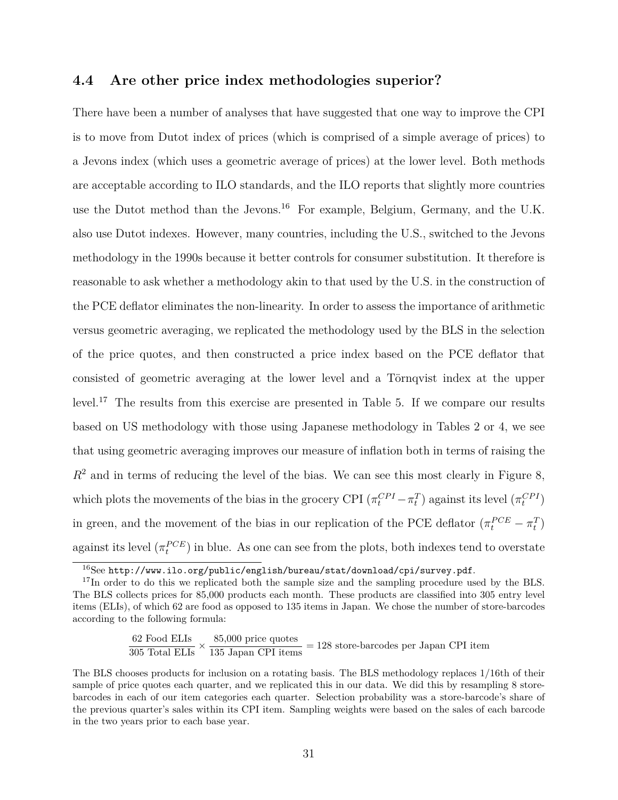#### <span id="page-32-0"></span>**4.4 Are other price index methodologies superior?**

There have been a number of analyses that have suggested that one way to improve the CPI is to move from Dutot index of prices (which is comprised of a simple average of prices) to a Jevons index (which uses a geometric average of prices) at the lower level. Both methods are acceptable according to ILO standards, and the ILO reports that slightly more countries use the Dutot method than the Jevons.<sup>[16](#page-32-1)</sup> For example, Belgium, Germany, and the U.K. also use Dutot indexes. However, many countries, including the U.S., switched to the Jevons methodology in the 1990s because it better controls for consumer substitution. It therefore is reasonable to ask whether a methodology akin to that used by the U.S. in the construction of the PCE deflator eliminates the non-linearity. In order to assess the importance of arithmetic versus geometric averaging, we replicated the methodology used by the BLS in the selection of the price quotes, and then constructed a price index based on the PCE deflator that consisted of geometric averaging at the lower level and a Törnqvist index at the upper level.[17](#page-32-2) The results from this exercise are presented in Table [5.](#page-33-0) If we compare our results based on US methodology with those using Japanese methodology in Tables [2](#page-24-0) or [4,](#page-31-0) we see that using geometric averaging improves our measure of inflation both in terms of raising the  $R<sup>2</sup>$  and in terms of reducing the level of the bias. We can see this most clearly in Figure [8,](#page-34-0) which plots the movements of the bias in the grocery CPI  $(\pi_t^{CPI} - \pi_t^T)$  against its level  $(\pi_t^{CPI})$ in green, and the movement of the bias in our replication of the PCE deflator  $(\pi_t^{PCE} - \pi_t^T)$ against its level  $(\pi_t^{PCE})$  in blue. As one can see from the plots, both indexes tend to overstate

$$
\frac{62 \text{ Food ELIs}}{305 \text{ Total ELIs}} \times \frac{85,000 \text{ price quotes}}{135 \text{ Japan CPI items}} = 128 \text{ store-barcodes per Japan CPI item}
$$

<span id="page-32-2"></span><span id="page-32-1"></span> $\frac{16}{16}$ See <http://www.ilo.org/public/english/bureau/stat/download/cpi/survey.pdf>.

<sup>&</sup>lt;sup>17</sup>In order to do this we replicated both the sample size and the sampling procedure used by the BLS. The BLS collects prices for 85,000 products each month. These products are classified into 305 entry level items (ELIs), of which 62 are food as opposed to 135 items in Japan. We chose the number of store-barcodes according to the following formula:

The BLS chooses products for inclusion on a rotating basis. The BLS methodology replaces 1/16th of their sample of price quotes each quarter, and we replicated this in our data. We did this by resampling 8 storebarcodes in each of our item categories each quarter. Selection probability was a store-barcode's share of the previous quarter's sales within its CPI item. Sampling weights were based on the sales of each barcode in the two years prior to each base year.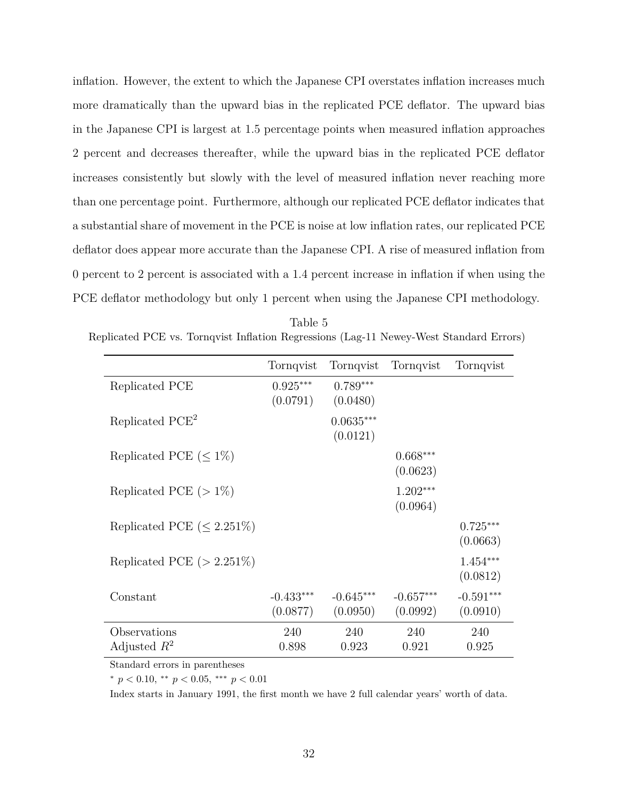inflation. However, the extent to which the Japanese CPI overstates inflation increases much more dramatically than the upward bias in the replicated PCE deflator. The upward bias in the Japanese CPI is largest at 1.5 percentage points when measured inflation approaches 2 percent and decreases thereafter, while the upward bias in the replicated PCE deflator increases consistently but slowly with the level of measured inflation never reaching more than one percentage point. Furthermore, although our replicated PCE deflator indicates that a substantial share of movement in the PCE is noise at low inflation rates, our replicated PCE deflator does appear more accurate than the Japanese CPI. A rise of measured inflation from 0 percent to 2 percent is associated with a 1.4 percent increase in inflation if when using the PCE deflator methodology but only 1 percent when using the Japanese CPI methodology.

<span id="page-33-0"></span>

| Table 5-                                                                               |  |
|----------------------------------------------------------------------------------------|--|
| Replicated PCE vs. Tornqvist Inflation Regressions (Lag-11 Newey-West Standard Errors) |  |

|                                 | Tornqvist               | Tornqvist               | Tornqvist               | Tornqvist               |
|---------------------------------|-------------------------|-------------------------|-------------------------|-------------------------|
| Replicated PCE                  | $0.925***$<br>(0.0791)  | $0.789***$<br>(0.0480)  |                         |                         |
| Replicated PCE <sup>2</sup>     |                         | $0.0635***$<br>(0.0121) |                         |                         |
| Replicated PCE $(\leq 1\%)$     |                         |                         | $0.668***$<br>(0.0623)  |                         |
| Replicated PCE $(>1\%)$         |                         |                         | $1.202***$<br>(0.0964)  |                         |
| Replicated PCE $(\leq 2.251\%)$ |                         |                         |                         | $0.725***$<br>(0.0663)  |
| Replicated PCE $(>2.251\%)$     |                         |                         |                         | $1.454***$<br>(0.0812)  |
| Constant                        | $-0.433***$<br>(0.0877) | $-0.645***$<br>(0.0950) | $-0.657***$<br>(0.0992) | $-0.591***$<br>(0.0910) |
| Observations<br>Adjusted $R^2$  | 240<br>0.898            | 240<br>0.923            | 240<br>0.921            | 240<br>0.925            |

Standard errors in parentheses

<sup>∗</sup> *p <* 0*.*10, ∗∗ *p <* 0*.*05, ∗∗∗ *p <* 0*.*01

Index starts in January 1991, the first month we have 2 full calendar years' worth of data.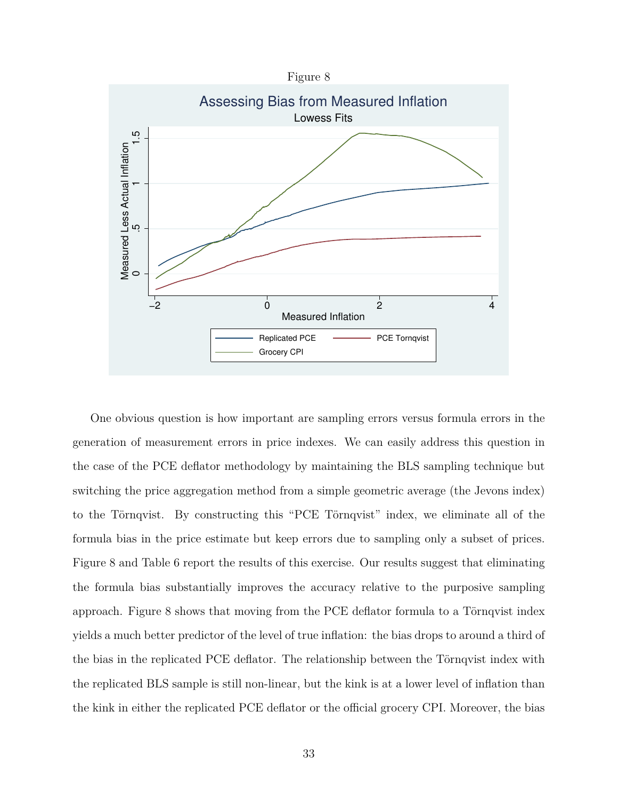<span id="page-34-0"></span>

One obvious question is how important are sampling errors versus formula errors in the generation of measurement errors in price indexes. We can easily address this question in the case of the PCE deflator methodology by maintaining the BLS sampling technique but switching the price aggregation method from a simple geometric average (the Jevons index) to the Törnqvist. By constructing this "PCE Törnqvist" index, we eliminate all of the formula bias in the price estimate but keep errors due to sampling only a subset of prices. Figure [8](#page-34-0) and Table [6](#page-35-0) report the results of this exercise. Our results suggest that eliminating the formula bias substantially improves the accuracy relative to the purposive sampling approach. Figure [8](#page-34-0) shows that moving from the PCE deflator formula to a Törnqvist index yields a much better predictor of the level of true inflation: the bias drops to around a third of the bias in the replicated PCE deflator. The relationship between the Törnqvist index with the replicated BLS sample is still non-linear, but the kink is at a lower level of inflation than the kink in either the replicated PCE deflator or the official grocery CPI. Moreover, the bias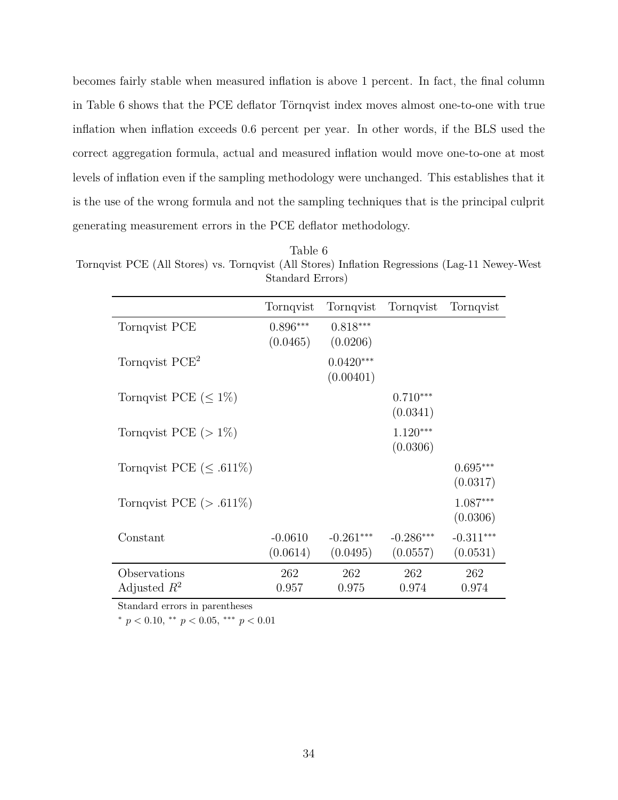becomes fairly stable when measured inflation is above 1 percent. In fact, the final column in Table [6](#page-35-0) shows that the PCE deflator Törnqvist index moves almost one-to-one with true inflation when inflation exceeds 0.6 percent per year. In other words, if the BLS used the correct aggregation formula, actual and measured inflation would move one-to-one at most levels of inflation even if the sampling methodology were unchanged. This establishes that it is the use of the wrong formula and not the sampling techniques that is the principal culprit generating measurement errors in the PCE deflator methodology.

<span id="page-35-0"></span>Table 6 Tornqvist PCE (All Stores) vs. Tornqvist (All Stores) Inflation Regressions (Lag-11 Newey-West Standard Errors)

|                               | Tornqvist  | Tornqvist   | Tornqvist   | Tornqvist   |
|-------------------------------|------------|-------------|-------------|-------------|
| Tornqvist PCE                 | $0.896***$ | $0.818***$  |             |             |
|                               | (0.0465)   | (0.0206)    |             |             |
| Tornqvist $PCE2$              |            | $0.0420***$ |             |             |
|                               |            | (0.00401)   |             |             |
| Tornqvist PCE $(\leq 1\%)$    |            |             | $0.710***$  |             |
|                               |            |             | (0.0341)    |             |
| Tornqvist PCE $(>1\%)$        |            |             | $1.120***$  |             |
|                               |            |             | (0.0306)    |             |
| Tornqvist PCE $(\leq .611\%)$ |            |             |             | $0.695***$  |
|                               |            |             |             | (0.0317)    |
| Tornqvist PCE $(> .611\%)$    |            |             |             | $1.087***$  |
|                               |            |             |             | (0.0306)    |
| Constant                      | $-0.0610$  | $-0.261***$ | $-0.286***$ | $-0.311***$ |
|                               | (0.0614)   | (0.0495)    | (0.0557)    | (0.0531)    |
| Observations                  | 262        | 262         | 262         | 262         |
| Adjusted $R^2$                | 0.957      | 0.975       | 0.974       | 0.974       |

Standard errors in parentheses

<sup>∗</sup> *p <* 0*.*10, ∗∗ *p <* 0*.*05, ∗∗∗ *p <* 0*.*01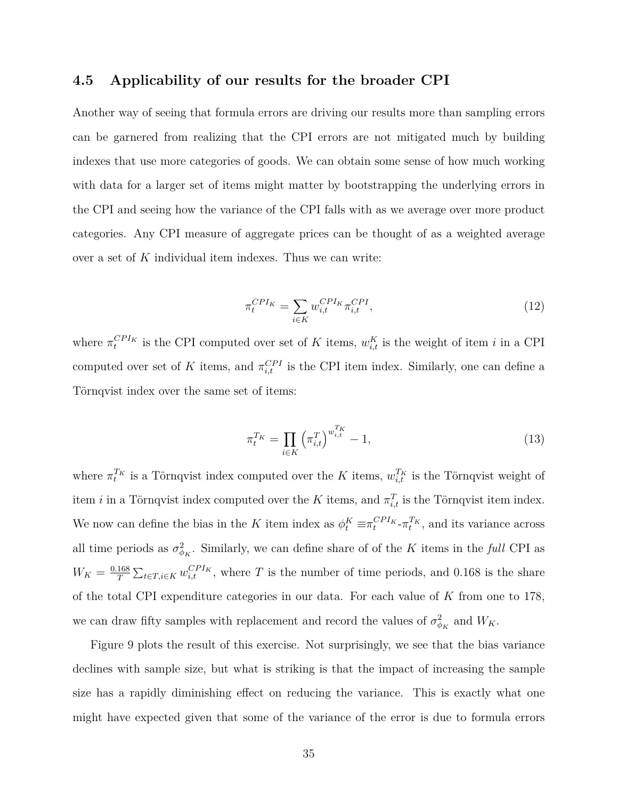## **4.5 Applicability of our results for the broader CPI**

Another way of seeing that formula errors are driving our results more than sampling errors can be garnered from realizing that the CPI errors are not mitigated much by building indexes that use more categories of goods. We can obtain some sense of how much working with data for a larger set of items might matter by bootstrapping the underlying errors in the CPI and seeing how the variance of the CPI falls with as we average over more product categories. Any CPI measure of aggregate prices can be thought of as a weighted average over a set of *K* individual item indexes. Thus we can write:

$$
\pi_t^{CPI_K} = \sum_{i \in K} w_{i,t}^{CPI_K} \pi_{i,t}^{CPI},\tag{12}
$$

where  $\pi_t^{CPI_K}$  is the CPI computed over set of *K* items,  $w_{i,t}^K$  is the weight of item *i* in a CPI computed over set of *K* items, and  $\pi_{i,t}^{CPI}$  is the CPI item index. Similarly, one can define a Törnqvist index over the same set of items:

$$
\pi_t^{T_K} = \prod_{i \in K} \left( \pi_{i,t}^T \right)^{w_{i,t}^{T_K}} - 1,\tag{13}
$$

where  $\pi_t^{T_K}$  is a Törnqvist index computed over the *K* items,  $w_{i,t}^{T_K}$  is the Törnqvist weight of item *i* in a Törnqvist index computed over the *K* items, and  $\pi_{i,t}^T$  is the Törnqvist item index. We now can define the bias in the *K* item index as  $\phi_t^K \equiv \pi_t^{CPI_K} \cdot \pi_t^{T_K}$ , and its variance across all time periods as  $\sigma_{\phi_K}^2$ . Similarly, we can define share of of the *K* items in the *full* CPI as  $W_K = \frac{0.168}{T}$  $\frac{168}{T} \sum_{t \in T, i \in K} w_{i,t}^{CPI_K}$ , where *T* is the number of time periods, and 0.168 is the share of the total CPI expenditure categories in our data. For each value of *K* from one to 178, we can draw fifty samples with replacement and record the values of  $\sigma_{\phi_K}^2$  and  $W_K$ .

Figure [9](#page-37-0) plots the result of this exercise. Not surprisingly, we see that the bias variance declines with sample size, but what is striking is that the impact of increasing the sample size has a rapidly diminishing effect on reducing the variance. This is exactly what one might have expected given that some of the variance of the error is due to formula errors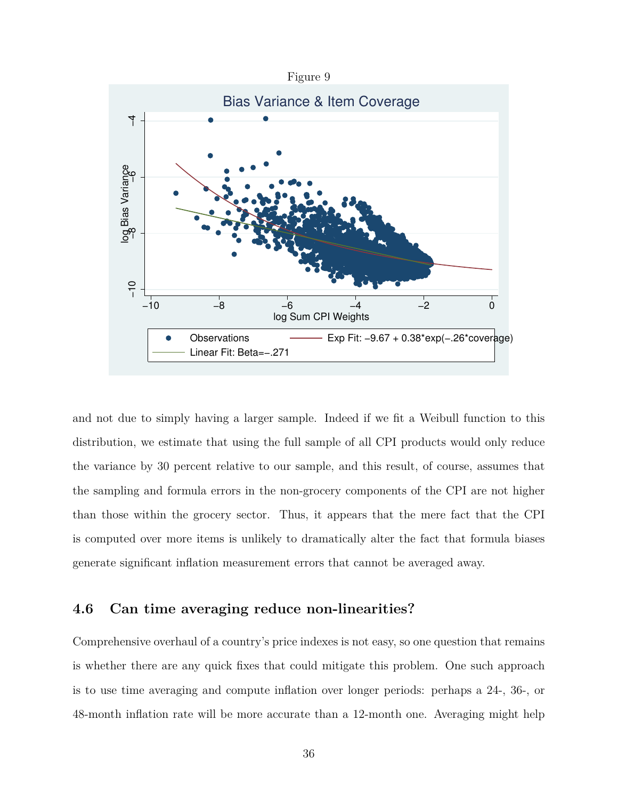<span id="page-37-0"></span>

and not due to simply having a larger sample. Indeed if we fit a Weibull function to this distribution, we estimate that using the full sample of all CPI products would only reduce the variance by 30 percent relative to our sample, and this result, of course, assumes that the sampling and formula errors in the non-grocery components of the CPI are not higher than those within the grocery sector. Thus, it appears that the mere fact that the CPI is computed over more items is unlikely to dramatically alter the fact that formula biases generate significant inflation measurement errors that cannot be averaged away.

#### **4.6 Can time averaging reduce non-linearities?**

Comprehensive overhaul of a country's price indexes is not easy, so one question that remains is whether there are any quick fixes that could mitigate this problem. One such approach is to use time averaging and compute inflation over longer periods: perhaps a 24-, 36-, or 48-month inflation rate will be more accurate than a 12-month one. Averaging might help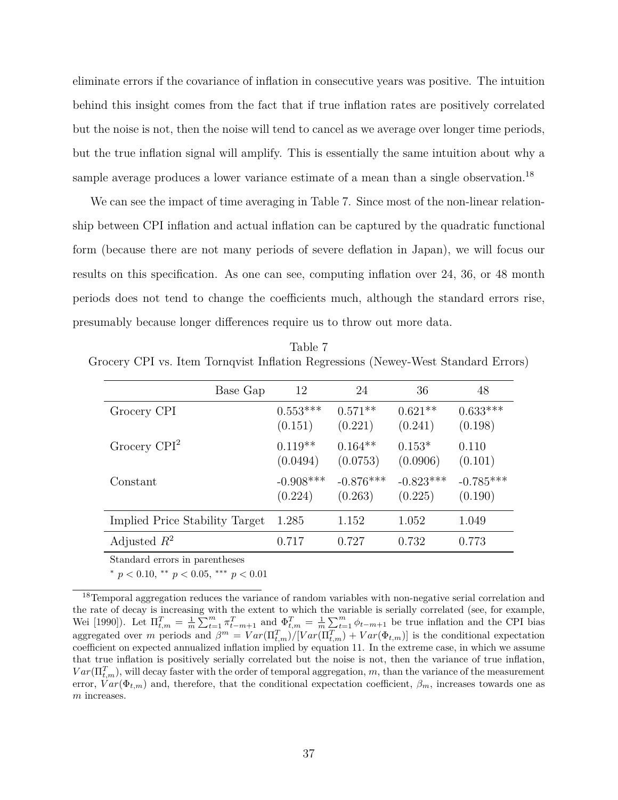eliminate errors if the covariance of inflation in consecutive years was positive. The intuition behind this insight comes from the fact that if true inflation rates are positively correlated but the noise is not, then the noise will tend to cancel as we average over longer time periods, but the true inflation signal will amplify. This is essentially the same intuition about why a sample average produces a lower variance estimate of a mean than a single observation.<sup>[18](#page-38-0)</sup>

We can see the impact of time averaging in Table [7.](#page-38-1) Since most of the non-linear relationship between CPI inflation and actual inflation can be captured by the quadratic functional form (because there are not many periods of severe deflation in Japan), we will focus our results on this specification. As one can see, computing inflation over 24, 36, or 48 month periods does not tend to change the coefficients much, although the standard errors rise, presumably because longer differences require us to throw out more data.

<span id="page-38-1"></span>Table 7 Grocery CPI vs. Item Tornqvist Inflation Regressions (Newey-West Standard Errors)

|                                | Base Gap | 12                     | 24                     | 36                     | 48                     |
|--------------------------------|----------|------------------------|------------------------|------------------------|------------------------|
| Grocery CPI                    |          | $0.553***$<br>(0.151)  | $0.571**$<br>(0.221)   | $0.621**$<br>(0.241)   | $0.633***$<br>(0.198)  |
| Grocery $CPI2$                 |          | $0.119**$<br>(0.0494)  | $0.164**$<br>(0.0753)  | $0.153*$<br>(0.0906)   | 0.110<br>(0.101)       |
| Constant                       |          | $-0.908***$<br>(0.224) | $-0.876***$<br>(0.263) | $-0.823***$<br>(0.225) | $-0.785***$<br>(0.190) |
| Implied Price Stability Target | 1.285    |                        | 1.152                  | 1.052                  | 1.049                  |
| Adjusted $R^2$                 | 0.717    |                        | 0.727                  | 0.732                  | 0.773                  |

Standard errors in parentheses

<sup>∗</sup> *p <* 0*.*10, ∗∗ *p <* 0*.*05, ∗∗∗ *p <* 0*.*01

<span id="page-38-0"></span><sup>&</sup>lt;sup>18</sup>Temporal aggregation reduces the variance of random variables with non-negative serial correlation and the rate of decay is increasing with the extent to which the variable is serially correlated (see, for example, [Wei](#page-42-9) [\[1990\]](#page-42-9)). Let  $\Pi_{t,m}^T = \frac{1}{m} \sum_{t=1}^m \pi_{t-m+1}^T$  and  $\Phi_{t,m}^T = \frac{1}{m} \sum_{t=1}^m \phi_{t-m+1}$  be true inflation and the CPI bias aggregated over *m* periods and  $\beta^m = Var(\Pi_{t,m}^T) / [Var(\Pi_{t,m}^T) + Var(\Phi_{t,m})]$  is the conditional expectation coefficient on expected annualized inflation implied by equation [11.](#page-21-0) In the extreme case, in which we assume that true inflation is positively serially correlated but the noise is not, then the variance of true inflation,  $Var(\Pi_{t,m}^T)$ , will decay faster with the order of temporal aggregation, *m*, than the variance of the measurement error,  $Var(\Phi_{t,m})$  and, therefore, that the conditional expectation coefficient,  $\beta_m$ , increases towards one as *m* increases.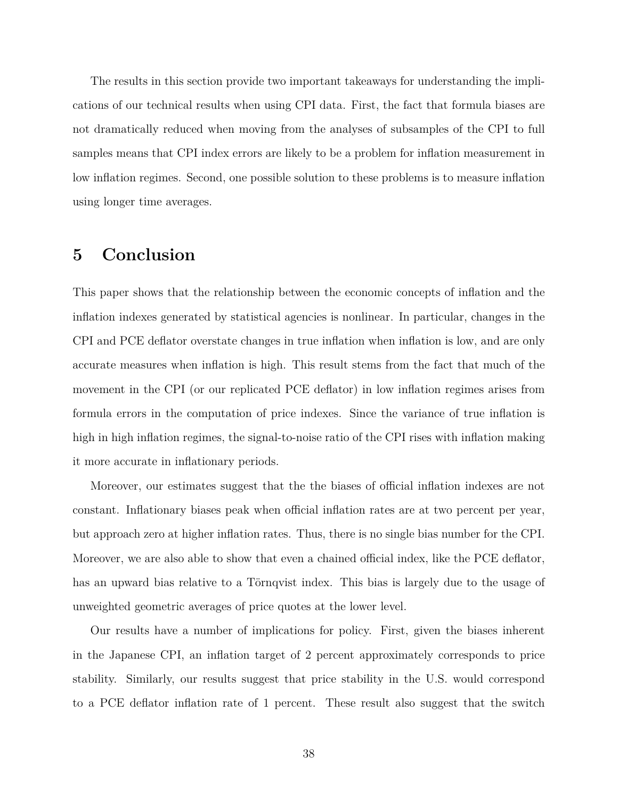The results in this section provide two important takeaways for understanding the implications of our technical results when using CPI data. First, the fact that formula biases are not dramatically reduced when moving from the analyses of subsamples of the CPI to full samples means that CPI index errors are likely to be a problem for inflation measurement in low inflation regimes. Second, one possible solution to these problems is to measure inflation using longer time averages.

# <span id="page-39-0"></span>**5 Conclusion**

This paper shows that the relationship between the economic concepts of inflation and the inflation indexes generated by statistical agencies is nonlinear. In particular, changes in the CPI and PCE deflator overstate changes in true inflation when inflation is low, and are only accurate measures when inflation is high. This result stems from the fact that much of the movement in the CPI (or our replicated PCE deflator) in low inflation regimes arises from formula errors in the computation of price indexes. Since the variance of true inflation is high in high inflation regimes, the signal-to-noise ratio of the CPI rises with inflation making it more accurate in inflationary periods.

Moreover, our estimates suggest that the the biases of official inflation indexes are not constant. Inflationary biases peak when official inflation rates are at two percent per year, but approach zero at higher inflation rates. Thus, there is no single bias number for the CPI. Moreover, we are also able to show that even a chained official index, like the PCE deflator, has an upward bias relative to a Törnqvist index. This bias is largely due to the usage of unweighted geometric averages of price quotes at the lower level.

Our results have a number of implications for policy. First, given the biases inherent in the Japanese CPI, an inflation target of 2 percent approximately corresponds to price stability. Similarly, our results suggest that price stability in the U.S. would correspond to a PCE deflator inflation rate of 1 percent. These result also suggest that the switch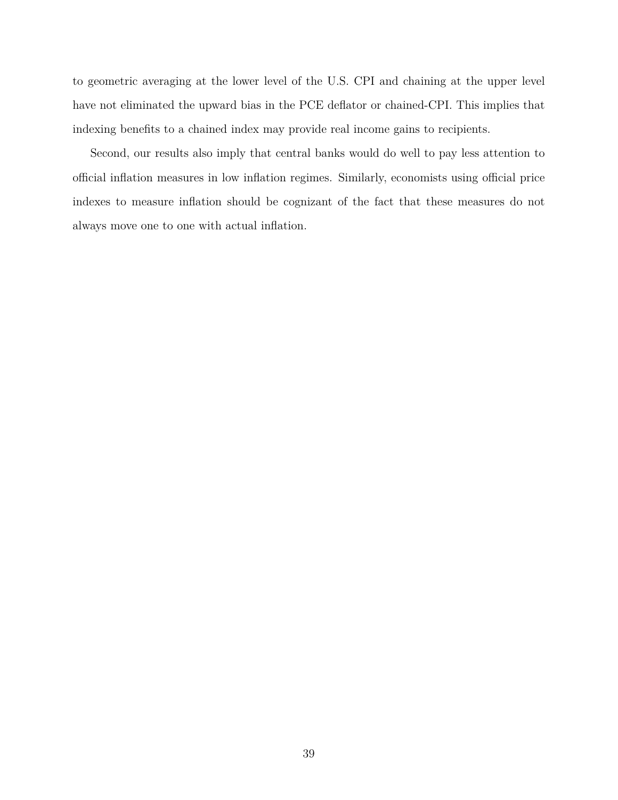to geometric averaging at the lower level of the U.S. CPI and chaining at the upper level have not eliminated the upward bias in the PCE deflator or chained-CPI. This implies that indexing benefits to a chained index may provide real income gains to recipients.

Second, our results also imply that central banks would do well to pay less attention to official inflation measures in low inflation regimes. Similarly, economists using official price indexes to measure inflation should be cognizant of the fact that these measures do not always move one to one with actual inflation.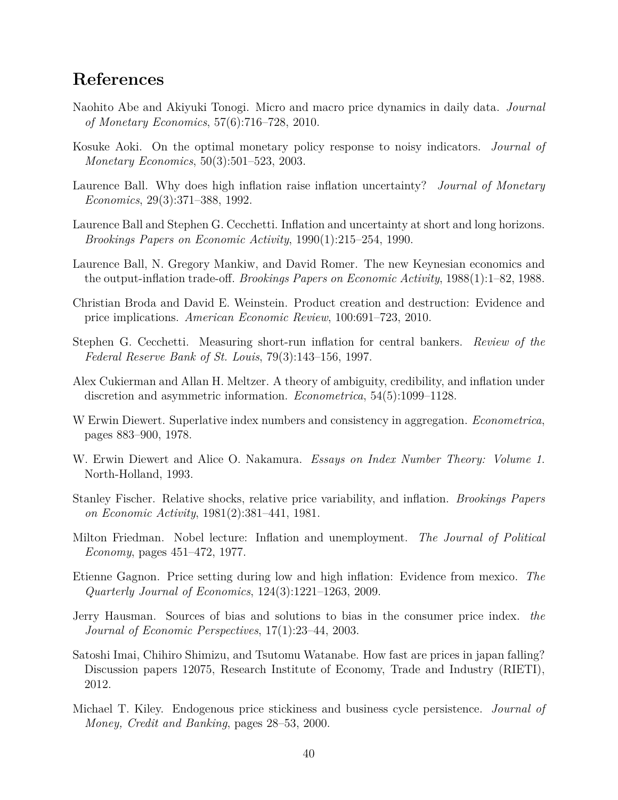# **References**

- <span id="page-41-9"></span>Naohito Abe and Akiyuki Tonogi. Micro and macro price dynamics in daily data. *Journal of Monetary Economics*, 57(6):716–728, 2010.
- <span id="page-41-0"></span>Kosuke Aoki. On the optimal monetary policy response to noisy indicators. *Journal of Monetary Economics*, 50(3):501–523, 2003.
- <span id="page-41-6"></span>Laurence Ball. Why does high inflation raise inflation uncertainty? *Journal of Monetary Economics*, 29(3):371–388, 1992.
- <span id="page-41-4"></span>Laurence Ball and Stephen G. Cecchetti. Inflation and uncertainty at short and long horizons. *Brookings Papers on Economic Activity*, 1990(1):215–254, 1990.
- <span id="page-41-3"></span>Laurence Ball, N. Gregory Mankiw, and David Romer. The new Keynesian economics and the output-inflation trade-off. *Brookings Papers on Economic Activity*, 1988(1):1–82, 1988.
- <span id="page-41-14"></span>Christian Broda and David E. Weinstein. Product creation and destruction: Evidence and price implications. *American Economic Review*, 100:691–723, 2010.
- <span id="page-41-11"></span>Stephen G. Cecchetti. Measuring short-run inflation for central bankers. *Review of the Federal Reserve Bank of St. Louis*, 79(3):143–156, 1997.
- <span id="page-41-7"></span>Alex Cukierman and Allan H. Meltzer. A theory of ambiguity, credibility, and inflation under discretion and asymmetric information. *Econometrica*, 54(5):1099–1128.
- <span id="page-41-15"></span>W Erwin Diewert. Superlative index numbers and consistency in aggregation. *Econometrica*, pages 883–900, 1978.
- <span id="page-41-1"></span>W. Erwin Diewert and Alice O. Nakamura. *Essays on Index Number Theory: Volume 1*. North-Holland, 1993.
- <span id="page-41-12"></span>Stanley Fischer. Relative shocks, relative price variability, and inflation. *Brookings Papers on Economic Activity*, 1981(2):381–441, 1981.
- <span id="page-41-2"></span>Milton Friedman. Nobel lecture: Inflation and unemployment. *The Journal of Political Economy*, pages 451–472, 1977.
- <span id="page-41-8"></span>Etienne Gagnon. Price setting during low and high inflation: Evidence from mexico. *The Quarterly Journal of Economics*, 124(3):1221–1263, 2009.
- <span id="page-41-10"></span>Jerry Hausman. Sources of bias and solutions to bias in the consumer price index. *the Journal of Economic Perspectives*, 17(1):23–44, 2003.
- <span id="page-41-13"></span>Satoshi Imai, Chihiro Shimizu, and Tsutomu Watanabe. How fast are prices in japan falling? Discussion papers 12075, Research Institute of Economy, Trade and Industry (RIETI), 2012.
- <span id="page-41-5"></span>Michael T. Kiley. Endogenous price stickiness and business cycle persistence. *Journal of Money, Credit and Banking*, pages 28–53, 2000.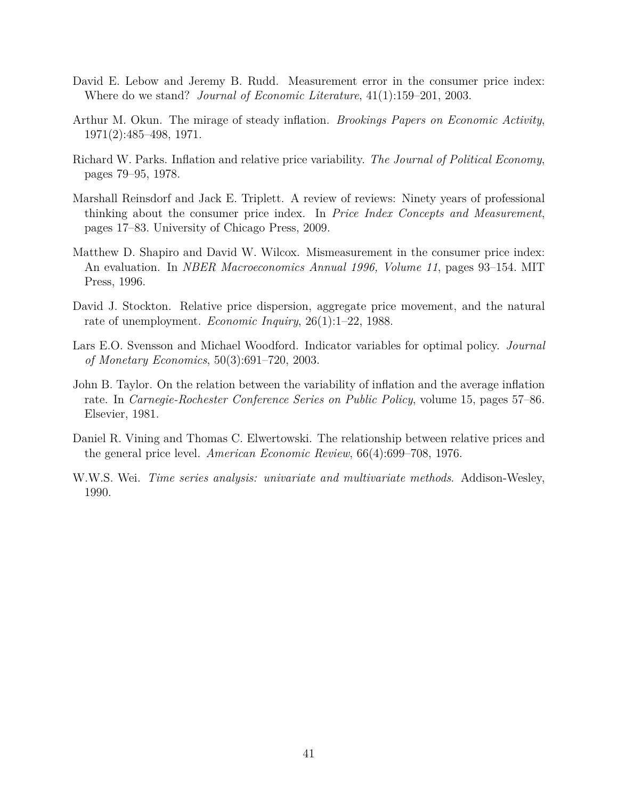- <span id="page-42-3"></span>David E. Lebow and Jeremy B. Rudd. Measurement error in the consumer price index: Where do we stand? *Journal of Economic Literature*, 41(1):159–201, 2003.
- <span id="page-42-1"></span>Arthur M. Okun. The mirage of steady inflation. *Brookings Papers on Economic Activity*, 1971(2):485–498, 1971.
- <span id="page-42-7"></span>Richard W. Parks. Inflation and relative price variability. *The Journal of Political Economy*, pages 79–95, 1978.
- <span id="page-42-4"></span>Marshall Reinsdorf and Jack E. Triplett. A review of reviews: Ninety years of professional thinking about the consumer price index. In *Price Index Concepts and Measurement*, pages 17–83. University of Chicago Press, 2009.
- <span id="page-42-5"></span>Matthew D. Shapiro and David W. Wilcox. Mismeasurement in the consumer price index: An evaluation. In *NBER Macroeconomics Annual 1996, Volume 11*, pages 93–154. MIT Press, 1996.
- <span id="page-42-8"></span>David J. Stockton. Relative price dispersion, aggregate price movement, and the natural rate of unemployment. *Economic Inquiry*, 26(1):1–22, 1988.
- <span id="page-42-0"></span>Lars E.O. Svensson and Michael Woodford. Indicator variables for optimal policy. *Journal of Monetary Economics*, 50(3):691–720, 2003.
- <span id="page-42-2"></span>John B. Taylor. On the relation between the variability of inflation and the average inflation rate. In *Carnegie-Rochester Conference Series on Public Policy*, volume 15, pages 57–86. Elsevier, 1981.
- <span id="page-42-6"></span>Daniel R. Vining and Thomas C. Elwertowski. The relationship between relative prices and the general price level. *American Economic Review*, 66(4):699–708, 1976.
- <span id="page-42-9"></span>W.W.S. Wei. *Time series analysis: univariate and multivariate methods*. Addison-Wesley, 1990.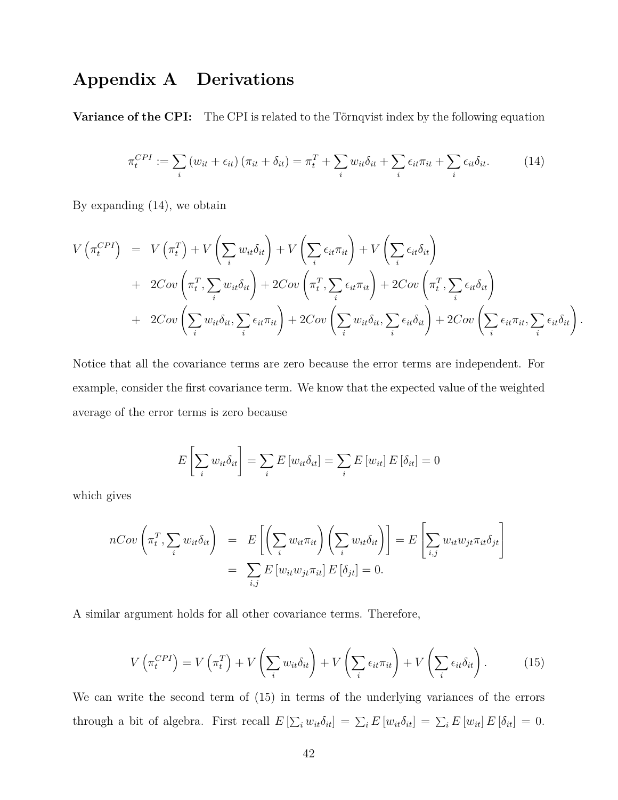# <span id="page-43-0"></span>**Appendix A Derivations**

**Variance of the CPI:** The CPI is related to the Törnqvist index by the following equation

<span id="page-43-1"></span>
$$
\pi_t^{CPI} := \sum_i \left( w_{it} + \epsilon_{it} \right) \left( \pi_{it} + \delta_{it} \right) = \pi_t^T + \sum_i w_{it} \delta_{it} + \sum_i \epsilon_{it} \pi_{it} + \sum_i \epsilon_{it} \delta_{it}.
$$
 (14)

By expanding [\(14\)](#page-43-1), we obtain

$$
V\left(\pi_t^{CPI}\right) = V\left(\pi_t^T\right) + V\left(\sum_i w_{it}\delta_{it}\right) + V\left(\sum_i \epsilon_{it}\pi_{it}\right) + V\left(\sum_i \epsilon_{it}\delta_{it}\right) + 2Cov\left(\pi_t^T, \sum_i w_{it}\delta_{it}\right) + 2Cov\left(\pi_t^T, \sum_i \epsilon_{it}\pi_{it}\right) + 2Cov\left(\pi_t^T, \sum_i \epsilon_{it}\delta_{it}\right) + 2Cov\left(\sum_i w_{it}\delta_{it}, \sum_i \epsilon_{it}\pi_{it}\right) + 2Cov\left(\sum_i w_{it}\delta_{it}, \sum_i \epsilon_{it}\delta_{it}\right) + 2Cov\left(\sum_i \epsilon_{it}\pi_{it}, \sum_i \epsilon_{it}\delta_{it}\right).
$$

Notice that all the covariance terms are zero because the error terms are independent. For example, consider the first covariance term. We know that the expected value of the weighted average of the error terms is zero because

$$
E\left[\sum_{i} w_{it} \delta_{it}\right] = \sum_{i} E\left[w_{it} \delta_{it}\right] = \sum_{i} E\left[w_{it}\right] E\left[\delta_{it}\right] = 0
$$

which gives

$$
nCov\left(\pi_t^T, \sum_i w_{it} \delta_{it}\right) = E\left[\left(\sum_i w_{it} \pi_{it}\right) \left(\sum_i w_{it} \delta_{it}\right)\right] = E\left[\sum_{i,j} w_{it} w_{jt} \pi_{it} \delta_{jt}\right]
$$
  
= 
$$
\sum_{i,j} E\left[w_{it} w_{jt} \pi_{it}\right] E\left[\delta_{jt}\right] = 0.
$$

A similar argument holds for all other covariance terms. Therefore,

<span id="page-43-2"></span>
$$
V\left(\pi_t^{CPI}\right) = V\left(\pi_t^T\right) + V\left(\sum_i w_{it}\delta_{it}\right) + V\left(\sum_i \epsilon_{it}\pi_{it}\right) + V\left(\sum_i \epsilon_{it}\delta_{it}\right). \tag{15}
$$

We can write the second term of [\(15\)](#page-43-2) in terms of the underlying variances of the errors through a bit of algebra. First recall  $E\left[\sum_i w_{it} \delta_{it}\right] = \sum_i E\left[w_{it} \delta_{it}\right] = \sum_i E\left[w_{it}\right] E\left[\delta_{it}\right] = 0.$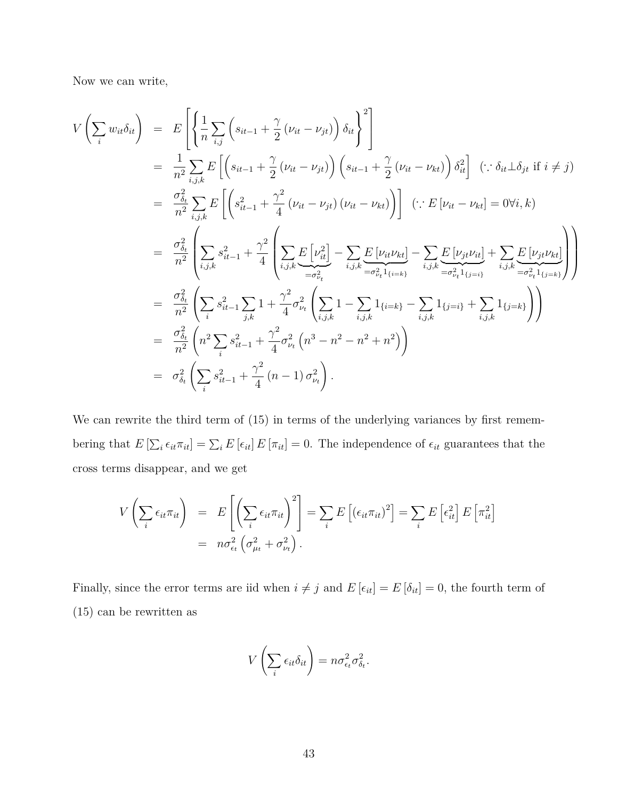Now we can write,

$$
V\left(\sum_{i} w_{it}\delta_{it}\right) = E\left[\left\{\frac{1}{n}\sum_{i,j}\left(s_{it-1} + \frac{\gamma}{2}\left(\nu_{it} - \nu_{jt}\right)\right)\delta_{it}\right\}^{2}\right]
$$
  
\n
$$
= \frac{1}{n^{2}}\sum_{i,j,k} E\left[\left(s_{it-1} + \frac{\gamma}{2}\left(\nu_{it} - \nu_{jt}\right)\right)\left(s_{it-1} + \frac{\gamma}{2}\left(\nu_{it} - \nu_{kt}\right)\right)\delta_{it}^{2}\right] \left(\because \delta_{it}\perp\delta_{jt} \text{ if } i \neq j\right)
$$
  
\n
$$
= \frac{\sigma_{\delta_{t}}^{2}}{n^{2}}\sum_{i,j,k} E\left[\left(s_{it-1}^{2} + \frac{\gamma^{2}}{4}\left(\nu_{it} - \nu_{jt}\right)\left(\nu_{it} - \nu_{kt}\right)\right)\right] \left(\because E\left[\nu_{it} - \nu_{kt}\right] = 0\forall i,k\right)
$$
  
\n
$$
= \frac{\sigma_{\delta_{t}}^{2}}{n^{2}}\left(\sum_{i,j,k} s_{it-1}^{2} + \frac{\gamma^{2}}{4}\left(\sum_{i,j,k} E\left[\nu_{it}^{2}\right] - \sum_{i,j,k} E\left[\nu_{it}\nu_{kt}\right] - \sum_{i,j,k} E\left[\nu_{jt}\nu_{it}\right] + \sum_{i,j,k} E\left[\nu_{jt}\nu_{kt}\right]\right)
$$
  
\n
$$
= \frac{\sigma_{\delta_{t}}^{2}}{n^{2}}\left(\sum_{i} s_{it-1}^{2} \sum_{j,k} 1 + \frac{\gamma^{2}}{4}\sigma_{\nu_{t}}^{2}\left(\sum_{i,j,k} 1 - \sum_{i,j,k} 1_{\{i=k\}} - \sum_{i,j,k} 1_{\{j=i\}} + \sum_{i,j,k} 1_{\{j=k\}}\right)\right)
$$
  
\n
$$
= \frac{\sigma_{\delta_{t}}^{2}}{n^{2}}\left(n^{2} \sum_{i} s_{it-1}^{2} + \frac{\gamma^{2}}{4}\sigma_{\nu_{t}}^{2}\left(n^{3} - n^{2} - n^{2} + n^{2}\right)\right)
$$
  
\n
$$
= \sigma_{\delta_{t}}^{2}\left(n^{2} \sum_{i} s_{it-1}
$$

We can rewrite the third term of  $(15)$  in terms of the underlying variances by first remembering that  $E\left[\sum_i \epsilon_{it}\pi_{it}\right] = \sum_i E\left[\epsilon_{it}\right] E\left[\pi_{it}\right] = 0$ . The independence of  $\epsilon_{it}$  guarantees that the cross terms disappear, and we get

$$
V\left(\sum_{i} \epsilon_{it}\pi_{it}\right) = E\left[\left(\sum_{i} \epsilon_{it}\pi_{it}\right)^2\right] = \sum_{i} E\left[\left(\epsilon_{it}\pi_{it}\right)^2\right] = \sum_{i} E\left[\epsilon_{it}^2\right] E\left[\pi_{it}^2\right]
$$

$$
= n\sigma_{\epsilon_t}^2 \left(\sigma_{\mu_t}^2 + \sigma_{\nu_t}^2\right).
$$

Finally, since the error terms are iid when  $i \neq j$  and  $E [\epsilon_{it}] = E [\delta_{it}] = 0$ , the fourth term of [\(15\)](#page-43-2) can be rewritten as

$$
V\left(\sum_{i} \epsilon_{it} \delta_{it}\right) = n \sigma_{\epsilon_t}^2 \sigma_{\delta_t}^2.
$$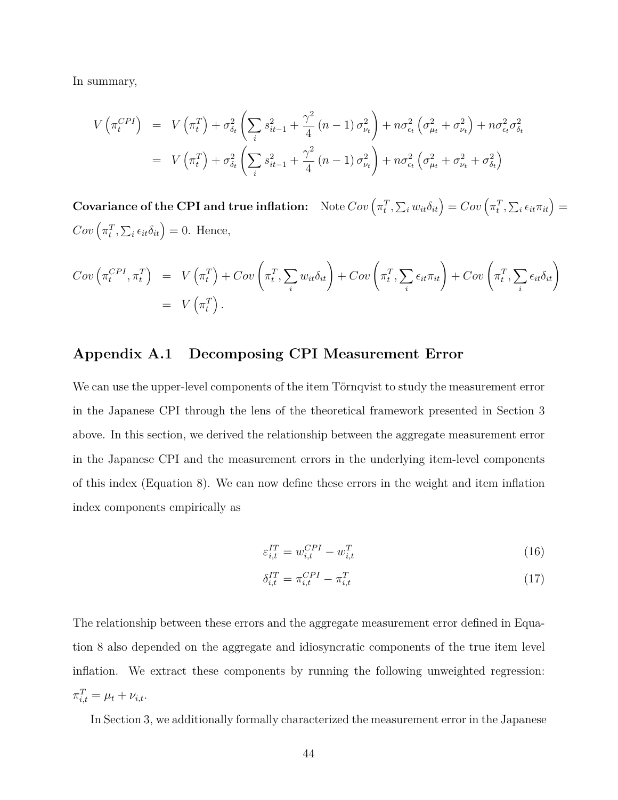In summary,

$$
V\left(\pi_t^{CPI}\right) = V\left(\pi_t^T\right) + \sigma_{\delta_t}^2 \left(\sum_i s_{it-1}^2 + \frac{\gamma^2}{4} (n-1) \sigma_{\nu_t}^2\right) + n \sigma_{\epsilon_t}^2 \left(\sigma_{\mu_t}^2 + \sigma_{\nu_t}^2\right) + n \sigma_{\epsilon_t}^2 \sigma_{\delta_t}^2
$$
  
= 
$$
V\left(\pi_t^T\right) + \sigma_{\delta_t}^2 \left(\sum_i s_{it-1}^2 + \frac{\gamma^2}{4} (n-1) \sigma_{\nu_t}^2\right) + n \sigma_{\epsilon_t}^2 \left(\sigma_{\mu_t}^2 + \sigma_{\nu_t}^2 + \sigma_{\delta_t}^2\right)
$$

 $\textbf{Covariance of the CPI and true inflation:} \quad \text{Note } Cov\left(\pi^T_t, \sum_i w_{it} \delta_{it}\right) = Cov\left(\pi^T_t, \sum_i \epsilon_{it} \pi_{it}\right) =$  $Cov\left(\pi_t^T, \sum_i \epsilon_{it} \delta_{it}\right) = 0.$  Hence,

$$
Cov\left(\pi_t^{CPI}, \pi_t^T\right) = V\left(\pi_t^T\right) + Cov\left(\pi_t^T, \sum_i w_{it} \delta_{it}\right) + Cov\left(\pi_t^T, \sum_i \epsilon_{it} \pi_{it}\right) + Cov\left(\pi_t^T, \sum_i \epsilon_{it} \delta_{it}\right)
$$

$$
= V\left(\pi_t^T\right).
$$

## **Appendix A.1 Decomposing CPI Measurement Error**

We can use the upper-level components of the item Törnqvist to study the measurement error in the Japanese CPI through the lens of the theoretical framework presented in Section [3](#page-16-0) above. In this section, we derived the relationship between the aggregate measurement error in the Japanese CPI and the measurement errors in the underlying item-level components of this index (Equation [8\)](#page-19-0). We can now define these errors in the weight and item inflation index components empirically as

$$
\varepsilon_{i,t}^{IT} = w_{i,t}^{CPI} - w_{i,t}^T \tag{16}
$$

$$
\delta_{i,t}^{IT} = \pi_{i,t}^{CPI} - \pi_{i,t}^T \tag{17}
$$

The relationship between these errors and the aggregate measurement error defined in Equation [8](#page-19-0) also depended on the aggregate and idiosyncratic components of the true item level inflation. We extract these components by running the following unweighted regression:  $\pi_{i,t}^T = \mu_t + \nu_{i,t}.$ 

In Section [3,](#page-16-0) we additionally formally characterized the measurement error in the Japanese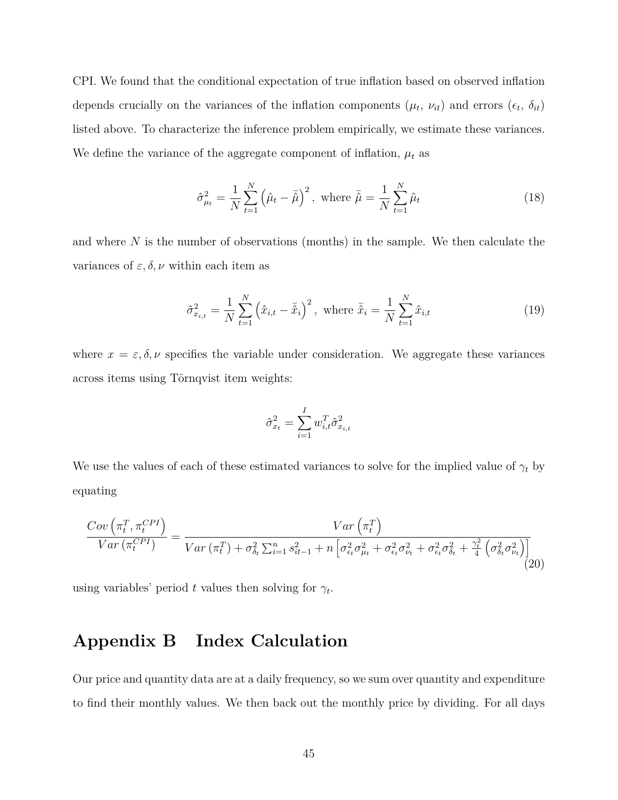CPI. We found that the conditional expectation of true inflation based on observed inflation depends crucially on the variances of the inflation components  $(\mu_t, \nu_{it})$  and errors  $(\epsilon_t, \delta_{it})$ listed above. To characterize the inference problem empirically, we estimate these variances. We define the variance of the aggregate component of inflation,  $\mu_t$  as

$$
\hat{\sigma}_{\mu_{t}}^{2} = \frac{1}{N} \sum_{t=1}^{N} (\hat{\mu}_{t} - \bar{\hat{\mu}})^{2}, \text{ where } \bar{\hat{\mu}} = \frac{1}{N} \sum_{t=1}^{N} \hat{\mu}_{t}
$$
\n(18)

and where *N* is the number of observations (months) in the sample. We then calculate the variances of  $\varepsilon$ ,  $\delta$ ,  $\nu$  within each item as

$$
\hat{\sigma}_{x_{i,t}}^2 = \frac{1}{N} \sum_{t=1}^N \left(\hat{x}_{i,t} - \bar{\hat{x}}_i\right)^2, \text{ where } \bar{\hat{x}}_i = \frac{1}{N} \sum_{t=1}^N \hat{x}_{i,t} \tag{19}
$$

where  $x = \varepsilon, \delta, \nu$  specifies the variable under consideration. We aggregate these variances across items using Törnqvist item weights:

$$
\hat{\sigma}_{x_t}^2 = \sum_{i=1}^I w_{i,t}^T \hat{\sigma}_{x_{i,t}}^2
$$

We use the values of each of these estimated variances to solve for the implied value of  $\gamma_t$  by equating

$$
\frac{Cov\left(\pi_t^T, \pi_t^{CPI}\right)}{Var\left(\pi_t^{CPI}\right)} = \frac{Var\left(\pi_t^T\right)}{Var\left(\pi_t^T\right) + \sigma_{\delta_t}^2 \sum_{i=1}^n s_{it-1}^2 + n\left[\sigma_{\epsilon_t}^2 \sigma_{\mu_t}^2 + \sigma_{\epsilon_t}^2 \sigma_{\nu_t}^2 + \sigma_{\epsilon_t}^2 \sigma_{\delta_t}^2 + \frac{\gamma_t^2}{4} \left(\sigma_{\delta_t}^2 \sigma_{\nu_t}^2\right)\right]} \tag{20}
$$

using variables' period  $t$  values then solving for  $\gamma_t$ .

# <span id="page-46-0"></span>**Appendix B Index Calculation**

Our price and quantity data are at a daily frequency, so we sum over quantity and expenditure to find their monthly values. We then back out the monthly price by dividing. For all days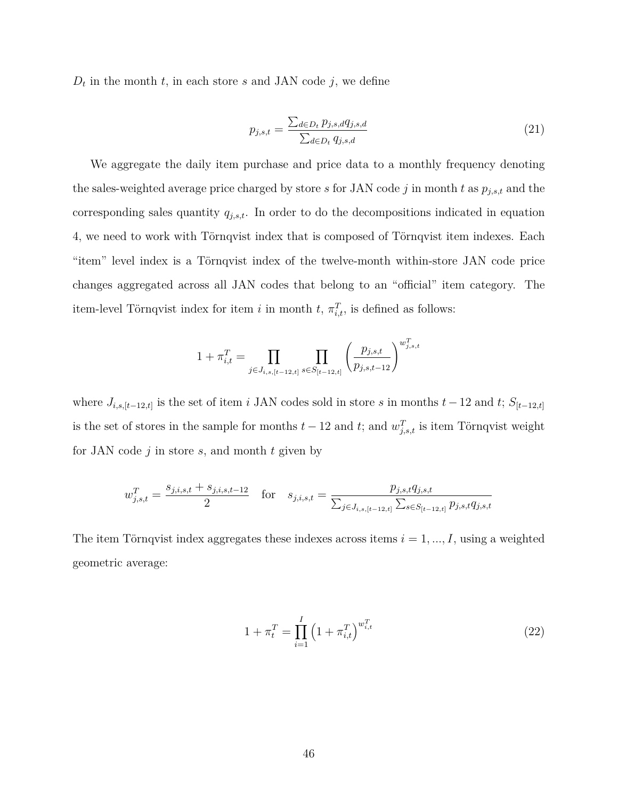$D_t$  in the month  $t$ , in each store  $s$  and JAN code  $j$ , we define

$$
p_{j,s,t} = \frac{\sum_{d \in D_t} p_{j,s,d} q_{j,s,d}}{\sum_{d \in D_t} q_{j,s,d}}
$$
(21)

We aggregate the daily item purchase and price data to a monthly frequency denoting the sales-weighted average price charged by store *s* for JAN code *j* in month *t* as *pj,s,t* and the corresponding sales quantity *qj,s,t*. In order to do the decompositions indicated in equation [4,](#page-18-0) we need to work with Törnqvist index that is composed of Törnqvist item indexes. Each "item" level index is a Törnqvist index of the twelve-month within-store JAN code price changes aggregated across all JAN codes that belong to an "official" item category. The item-level Törnqvist index for item *i* in month  $t$ ,  $\pi_{i,t}^T$ , is defined as follows:

$$
1 + \pi_{i,t}^T = \prod_{j \in J_{i,s,[t-12,t]}} \prod_{s \in S_{[t-12,t]}} \left( \frac{p_{j,s,t}}{p_{j,s,t-12}} \right)^{w_{j,s,t}^T}
$$

where  $J_{i,s,[t-12,t]}$  is the set of item *i* JAN codes sold in store *s* in months  $t-12$  and  $t$ ;  $S_{[t-12,t]}$ is the set of stores in the sample for months  $t-12$  and  $t$ ; and  $w_{j,s,t}^T$  is item Törnqvist weight for JAN code *j* in store *s*, and month *t* given by

$$
w_{j,s,t}^T = \frac{s_{j,i,s,t} + s_{j,i,s,t-12}}{2} \quad \text{for} \quad s_{j,i,s,t} = \frac{p_{j,s,t}q_{j,s,t}}{\sum_{j \in J_{i,s,[t-12,t]}} \sum_{s \in S_{[t-12,t]}} p_{j,s,t}q_{j,s,t}}
$$

The item Törnqvist index aggregates these indexes across items  $i = 1, ..., I$ , using a weighted geometric average:

<span id="page-47-0"></span>
$$
1 + \pi_t^T = \prod_{i=1}^I \left( 1 + \pi_{i,t}^T \right)^{w_{i,t}^T}
$$
 (22)